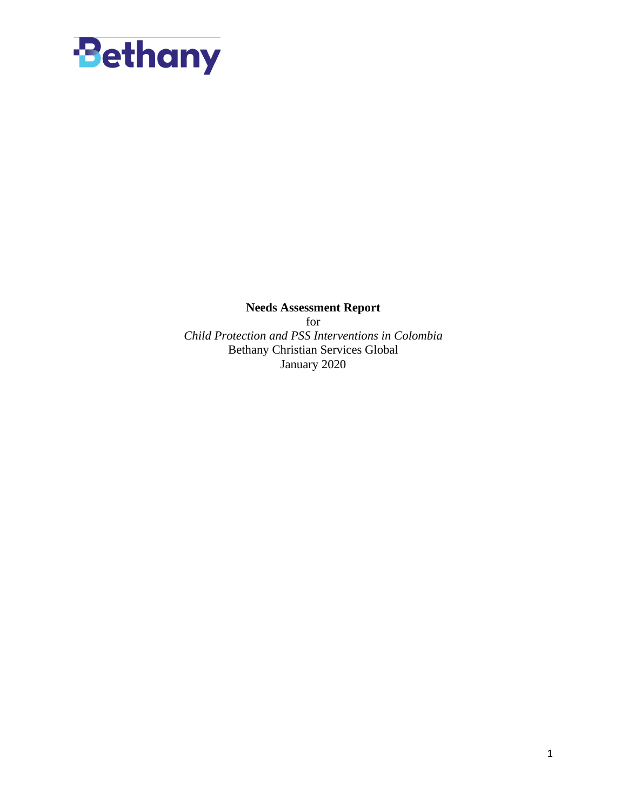

**Needs Assessment Report** for *Child Protection and PSS Interventions in Colombia* Bethany Christian Services Global January 2020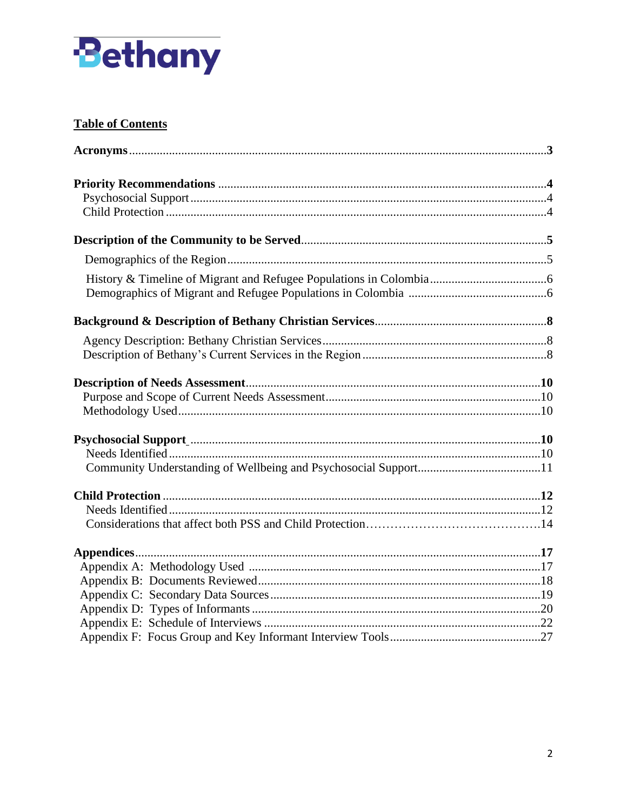

# **Table of Contents**

| Psychosocial Support manufactured and support of the manufactured and support and support and support and support and support and support and support and support and support and support and support and support and support |  |
|-------------------------------------------------------------------------------------------------------------------------------------------------------------------------------------------------------------------------------|--|
|                                                                                                                                                                                                                               |  |
|                                                                                                                                                                                                                               |  |
|                                                                                                                                                                                                                               |  |
|                                                                                                                                                                                                                               |  |
|                                                                                                                                                                                                                               |  |
|                                                                                                                                                                                                                               |  |
|                                                                                                                                                                                                                               |  |
|                                                                                                                                                                                                                               |  |
|                                                                                                                                                                                                                               |  |
|                                                                                                                                                                                                                               |  |
|                                                                                                                                                                                                                               |  |
|                                                                                                                                                                                                                               |  |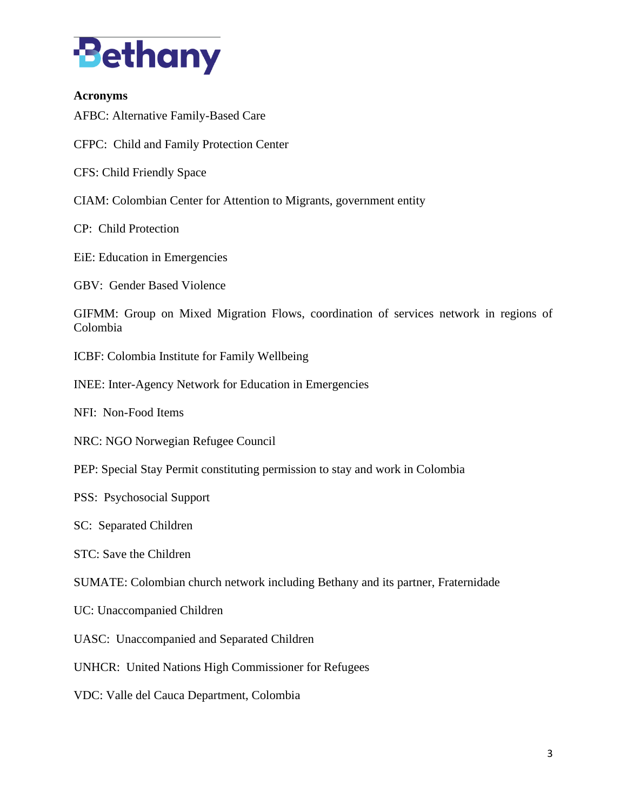

#### **Acronyms**

AFBC: Alternative Family-Based Care

CFPC: Child and Family Protection Center

CFS: Child Friendly Space

CIAM: Colombian Center for Attention to Migrants, government entity

CP: Child Protection

EiE: Education in Emergencies

GBV: Gender Based Violence

GIFMM: Group on Mixed Migration Flows, coordination of services network in regions of Colombia

ICBF: Colombia Institute for Family Wellbeing

INEE: Inter-Agency Network for Education in Emergencies

NFI: Non-Food Items

NRC: NGO Norwegian Refugee Council

PEP: Special Stay Permit constituting permission to stay and work in Colombia

PSS: Psychosocial Support

SC: Separated Children

STC: Save the Children

SUMATE: Colombian church network including Bethany and its partner, Fraternidade

UC: Unaccompanied Children

UASC: Unaccompanied and Separated Children

UNHCR: United Nations High Commissioner for Refugees

VDC: Valle del Cauca Department, Colombia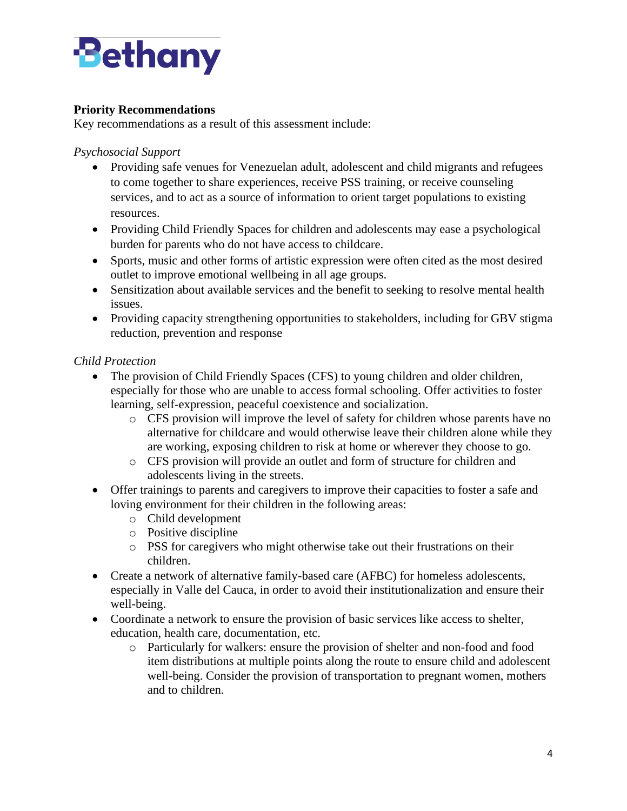

# **Priority Recommendations**

Key recommendations as a result of this assessment include:

*Psychosocial Support*

- Providing safe venues for Venezuelan adult, adolescent and child migrants and refugees to come together to share experiences, receive PSS training, or receive counseling services, and to act as a source of information to orient target populations to existing resources.
- Providing Child Friendly Spaces for children and adolescents may ease a psychological burden for parents who do not have access to childcare.
- Sports, music and other forms of artistic expression were often cited as the most desired outlet to improve emotional wellbeing in all age groups.
- Sensitization about available services and the benefit to seeking to resolve mental health issues.
- Providing capacity strengthening opportunities to stakeholders, including for GBV stigma reduction, prevention and response

### *Child Protection*

- The provision of Child Friendly Spaces (CFS) to young children and older children, especially for those who are unable to access formal schooling. Offer activities to foster learning, self-expression, peaceful coexistence and socialization.
	- o CFS provision will improve the level of safety for children whose parents have no alternative for childcare and would otherwise leave their children alone while they are working, exposing children to risk at home or wherever they choose to go.
	- o CFS provision will provide an outlet and form of structure for children and adolescents living in the streets.
- Offer trainings to parents and caregivers to improve their capacities to foster a safe and loving environment for their children in the following areas:
	- o Child development
	- o Positive discipline
	- o PSS for caregivers who might otherwise take out their frustrations on their children.
- Create a network of alternative family-based care (AFBC) for homeless adolescents, especially in Valle del Cauca, in order to avoid their institutionalization and ensure their well-being.
- Coordinate a network to ensure the provision of basic services like access to shelter, education, health care, documentation, etc.
	- o Particularly for walkers: ensure the provision of shelter and non-food and food item distributions at multiple points along the route to ensure child and adolescent well-being. Consider the provision of transportation to pregnant women, mothers and to children.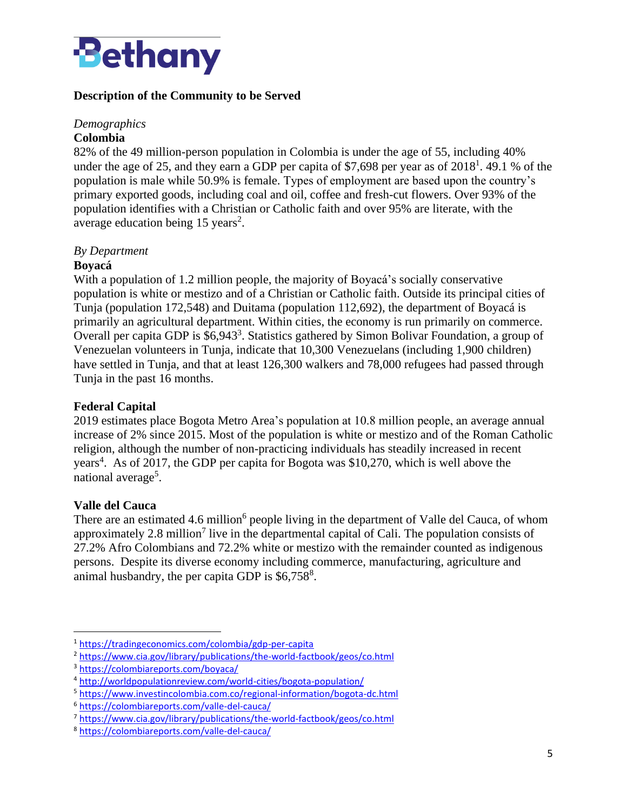

# **Description of the Community to be Served**

#### *Demographics*  **Colombia**

82% of the 49 million-person population in Colombia is under the age of 55, including 40% under the age of 25, and they earn a GDP per capita of \$7,698 per year as of  $2018^1$ . 49.1 % of the population is male while 50.9% is female. Types of employment are based upon the country's primary exported goods, including coal and oil, coffee and fresh-cut flowers. Over 93% of the population identifies with a Christian or Catholic faith and over 95% are literate, with the average education being  $15 \text{ years}^2$ .

### *By Department*

#### **Boyacá**

With a population of 1.2 million people, the majority of Boyacá's socially conservative population is white or mestizo and of a Christian or Catholic faith. Outside its principal cities of Tunja (population 172,548) and Duitama (population 112,692), the department of Boyacá is primarily an agricultural department. Within cities, the economy is run primarily on commerce. Overall per capita GDP is \$6,943<sup>3</sup>. Statistics gathered by Simon Bolivar Foundation, a group of Venezuelan volunteers in Tunja, indicate that 10,300 Venezuelans (including 1,900 children) have settled in Tunja, and that at least 126,300 walkers and 78,000 refugees had passed through Tunja in the past 16 months.

#### **Federal Capital**

2019 estimates place Bogota Metro Area's population at 10.8 million people, an average annual increase of 2% since 2015. Most of the population is white or mestizo and of the Roman Catholic religion, although the number of non-practicing individuals has steadily increased in recent years<sup>4</sup>. As of 2017, the GDP per capita for Bogota was \$10,270, which is well above the national average<sup>5</sup>.

#### **Valle del Cauca**

There are an estimated 4.6 million<sup>6</sup> people living in the department of Valle del Cauca, of whom approximately 2.8 million<sup>7</sup> live in the departmental capital of Cali. The population consists of 27.2% Afro Colombians and 72.2% white or mestizo with the remainder counted as indigenous persons. Despite its diverse economy including commerce, manufacturing, agriculture and animal husbandry, the per capita GDP is  $$6,758$ <sup>8</sup>.

<sup>1</sup> <https://tradingeconomics.com/colombia/gdp-per-capita>

<sup>2</sup> <https://www.cia.gov/library/publications/the-world-factbook/geos/co.html>

<sup>3</sup> <https://colombiareports.com/boyaca/>

<sup>4</sup> <http://worldpopulationreview.com/world-cities/bogota-population/>

<sup>5</sup> <https://www.investincolombia.com.co/regional-information/bogota-dc.html>

<sup>6</sup> <https://colombiareports.com/valle-del-cauca/>

<sup>7</sup> <https://www.cia.gov/library/publications/the-world-factbook/geos/co.html>

<sup>8</sup> <https://colombiareports.com/valle-del-cauca/>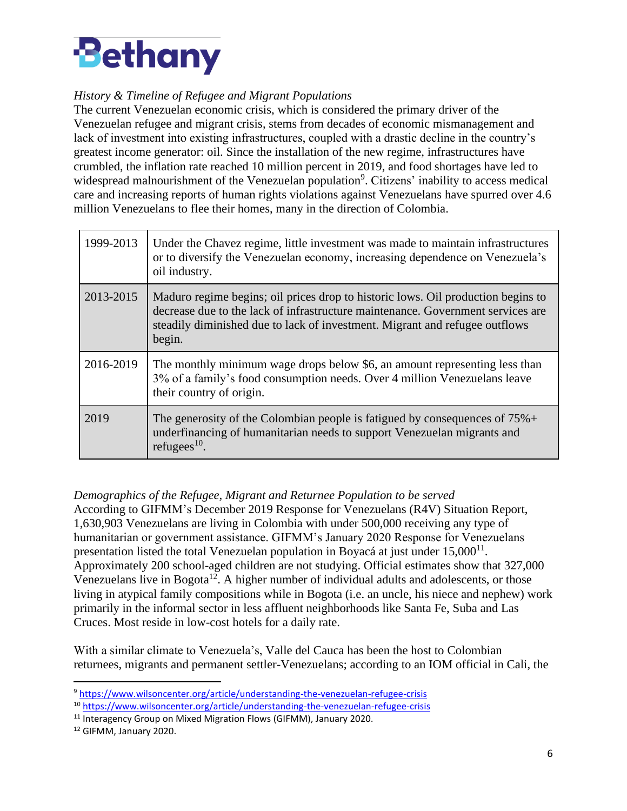

# *History & Timeline of Refugee and Migrant Populations*

The current Venezuelan economic crisis, which is considered the primary driver of the Venezuelan refugee and migrant crisis, stems from decades of economic mismanagement and lack of investment into existing infrastructures, coupled with a drastic decline in the country's greatest income generator: oil. Since the installation of the new regime, infrastructures have crumbled, the inflation rate reached 10 million percent in 2019, and food shortages have led to widespread malnourishment of the Venezuelan population<sup>9</sup>. Citizens' inability to access medical care and increasing reports of human rights violations against Venezuelans have spurred over 4.6 million Venezuelans to flee their homes, many in the direction of Colombia.

| 1999-2013 | Under the Chavez regime, little investment was made to maintain infrastructures<br>or to diversify the Venezuelan economy, increasing dependence on Venezuela's<br>oil industry.                                                                             |
|-----------|--------------------------------------------------------------------------------------------------------------------------------------------------------------------------------------------------------------------------------------------------------------|
| 2013-2015 | Maduro regime begins; oil prices drop to historic lows. Oil production begins to<br>decrease due to the lack of infrastructure maintenance. Government services are<br>steadily diminished due to lack of investment. Migrant and refugee outflows<br>begin. |
| 2016-2019 | The monthly minimum wage drops below \$6, an amount representing less than<br>3% of a family's food consumption needs. Over 4 million Venezuelans leave<br>their country of origin.                                                                          |
| 2019      | The generosity of the Colombian people is fatigued by consequences of $75\%$ +<br>underfinancing of humanitarian needs to support Venezuelan migrants and<br>refugees $^{10}$ .                                                                              |

*Demographics of the Refugee, Migrant and Returnee Population to be served* According to GIFMM's December 2019 Response for Venezuelans (R4V) Situation Report, 1,630,903 Venezuelans are living in Colombia with under 500,000 receiving any type of humanitarian or government assistance. GIFMM's January 2020 Response for Venezuelans presentation listed the total Venezuelan population in Boyacá at just under  $15,000^{11}$ . Approximately 200 school-aged children are not studying. Official estimates show that 327,000 Venezuelans live in Bogota<sup>12</sup>. A higher number of individual adults and adolescents, or those living in atypical family compositions while in Bogota (i.e. an uncle, his niece and nephew) work primarily in the informal sector in less affluent neighborhoods like Santa Fe, Suba and Las Cruces. Most reside in low-cost hotels for a daily rate.

With a similar climate to Venezuela's, Valle del Cauca has been the host to Colombian returnees, migrants and permanent settler-Venezuelans; according to an IOM official in Cali, the

<sup>9</sup> <https://www.wilsoncenter.org/article/understanding-the-venezuelan-refugee-crisis>

<sup>10</sup> <https://www.wilsoncenter.org/article/understanding-the-venezuelan-refugee-crisis>

<sup>&</sup>lt;sup>11</sup> Interagency Group on Mixed Migration Flows (GIFMM), January 2020.

<sup>12</sup> GIFMM, January 2020.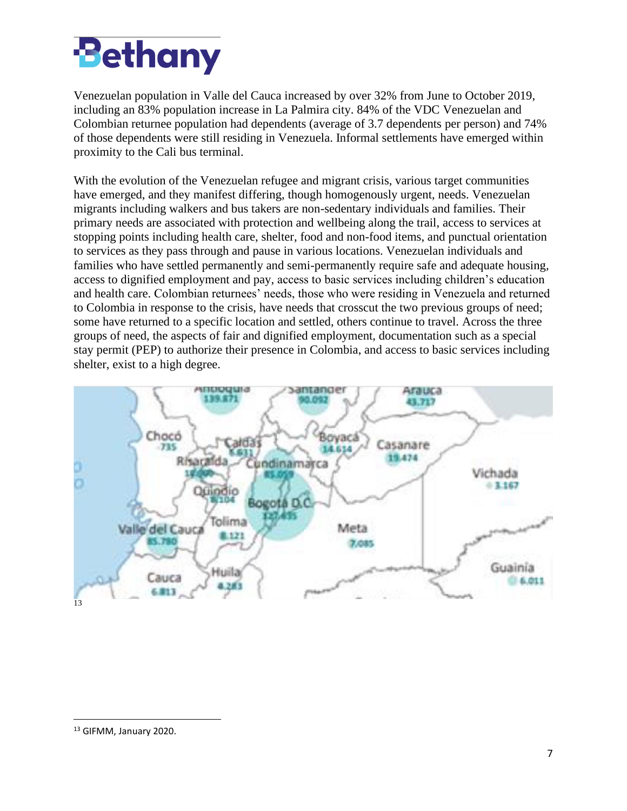

Venezuelan population in Valle del Cauca increased by over 32% from June to October 2019, including an 83% population increase in La Palmira city. 84% of the VDC Venezuelan and Colombian returnee population had dependents (average of 3.7 dependents per person) and 74% of those dependents were still residing in Venezuela. Informal settlements have emerged within proximity to the Cali bus terminal.

With the evolution of the Venezuelan refugee and migrant crisis, various target communities have emerged, and they manifest differing, though homogenously urgent, needs. Venezuelan migrants including walkers and bus takers are non-sedentary individuals and families. Their primary needs are associated with protection and wellbeing along the trail, access to services at stopping points including health care, shelter, food and non-food items, and punctual orientation to services as they pass through and pause in various locations. Venezuelan individuals and families who have settled permanently and semi-permanently require safe and adequate housing, access to dignified employment and pay, access to basic services including children's education and health care. Colombian returnees' needs, those who were residing in Venezuela and returned to Colombia in response to the crisis, have needs that crosscut the two previous groups of need; some have returned to a specific location and settled, others continue to travel. Across the three groups of need, the aspects of fair and dignified employment, documentation such as a special stay permit (PEP) to authorize their presence in Colombia, and access to basic services including shelter, exist to a high degree.



<sup>13</sup> GIFMM, January 2020.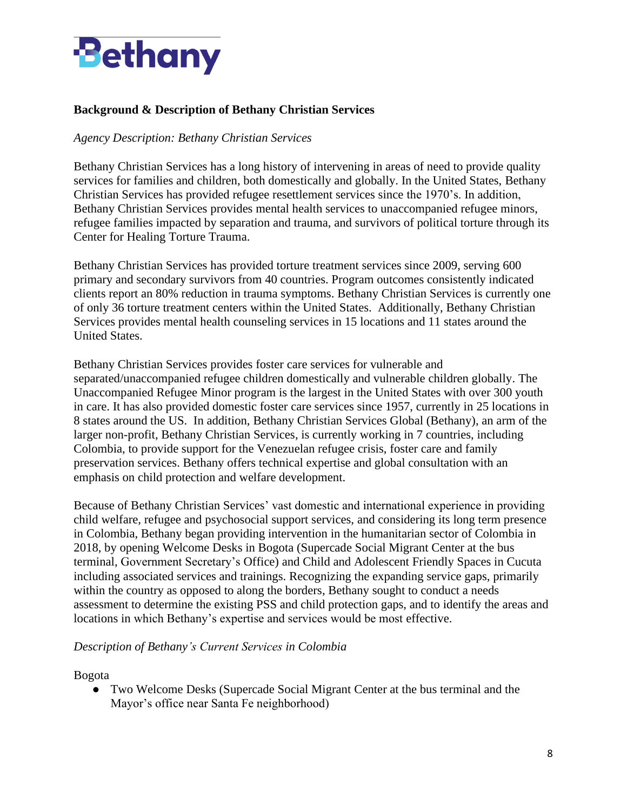

# **Background & Description of Bethany Christian Services**

#### *Agency Description: Bethany Christian Services*

Bethany Christian Services has a long history of intervening in areas of need to provide quality services for families and children, both domestically and globally. In the United States, Bethany Christian Services has provided refugee resettlement services since the 1970's. In addition, Bethany Christian Services provides mental health services to unaccompanied refugee minors, refugee families impacted by separation and trauma, and survivors of political torture through its Center for Healing Torture Trauma.

Bethany Christian Services has provided torture treatment services since 2009, serving 600 primary and secondary survivors from 40 countries. Program outcomes consistently indicated clients report an 80% reduction in trauma symptoms. Bethany Christian Services is currently one of only 36 torture treatment centers within the United States. Additionally, Bethany Christian Services provides mental health counseling services in 15 locations and 11 states around the United States.

Bethany Christian Services provides foster care services for vulnerable and separated/unaccompanied refugee children domestically and vulnerable children globally. The Unaccompanied Refugee Minor program is the largest in the United States with over 300 youth in care. It has also provided domestic foster care services since 1957, currently in 25 locations in 8 states around the US. In addition, Bethany Christian Services Global (Bethany), an arm of the larger non-profit, Bethany Christian Services, is currently working in 7 countries, including Colombia, to provide support for the Venezuelan refugee crisis, foster care and family preservation services. Bethany offers technical expertise and global consultation with an emphasis on child protection and welfare development.

Because of Bethany Christian Services' vast domestic and international experience in providing child welfare, refugee and psychosocial support services, and considering its long term presence in Colombia, Bethany began providing intervention in the humanitarian sector of Colombia in 2018, by opening Welcome Desks in Bogota (Supercade Social Migrant Center at the bus terminal, Government Secretary's Office) and Child and Adolescent Friendly Spaces in Cucuta including associated services and trainings. Recognizing the expanding service gaps, primarily within the country as opposed to along the borders, Bethany sought to conduct a needs assessment to determine the existing PSS and child protection gaps, and to identify the areas and locations in which Bethany's expertise and services would be most effective.

#### *Description of Bethany's Current Services in Colombia*

Bogota

● Two Welcome Desks (Supercade Social Migrant Center at the bus terminal and the Mayor's office near Santa Fe neighborhood)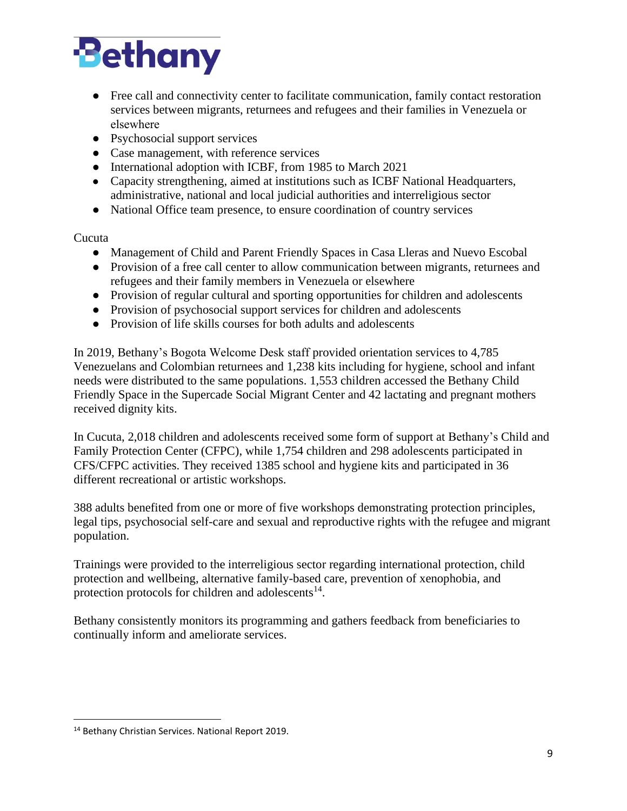

- Free call and connectivity center to facilitate communication, family contact restoration services between migrants, returnees and refugees and their families in Venezuela or elsewhere
- Psychosocial support services
- Case management, with reference services
- International adoption with ICBF, from 1985 to March 2021
- Capacity strengthening, aimed at institutions such as ICBF National Headquarters, administrative, national and local judicial authorities and interreligious sector
- National Office team presence, to ensure coordination of country services

#### Cucuta

- Management of Child and Parent Friendly Spaces in Casa Lleras and Nuevo Escobal
- Provision of a free call center to allow communication between migrants, returnees and refugees and their family members in Venezuela or elsewhere
- Provision of regular cultural and sporting opportunities for children and adolescents
- Provision of psychosocial support services for children and adolescents
- Provision of life skills courses for both adults and adolescents

In 2019, Bethany's Bogota Welcome Desk staff provided orientation services to 4,785 Venezuelans and Colombian returnees and 1,238 kits including for hygiene, school and infant needs were distributed to the same populations. 1,553 children accessed the Bethany Child Friendly Space in the Supercade Social Migrant Center and 42 lactating and pregnant mothers received dignity kits.

In Cucuta, 2,018 children and adolescents received some form of support at Bethany's Child and Family Protection Center (CFPC), while 1,754 children and 298 adolescents participated in CFS/CFPC activities. They received 1385 school and hygiene kits and participated in 36 different recreational or artistic workshops.

388 adults benefited from one or more of five workshops demonstrating protection principles, legal tips, psychosocial self-care and sexual and reproductive rights with the refugee and migrant population.

Trainings were provided to the interreligious sector regarding international protection, child protection and wellbeing, alternative family-based care, prevention of xenophobia, and protection protocols for children and adolescents $14$ .

Bethany consistently monitors its programming and gathers feedback from beneficiaries to continually inform and ameliorate services.

<sup>14</sup> Bethany Christian Services. National Report 2019.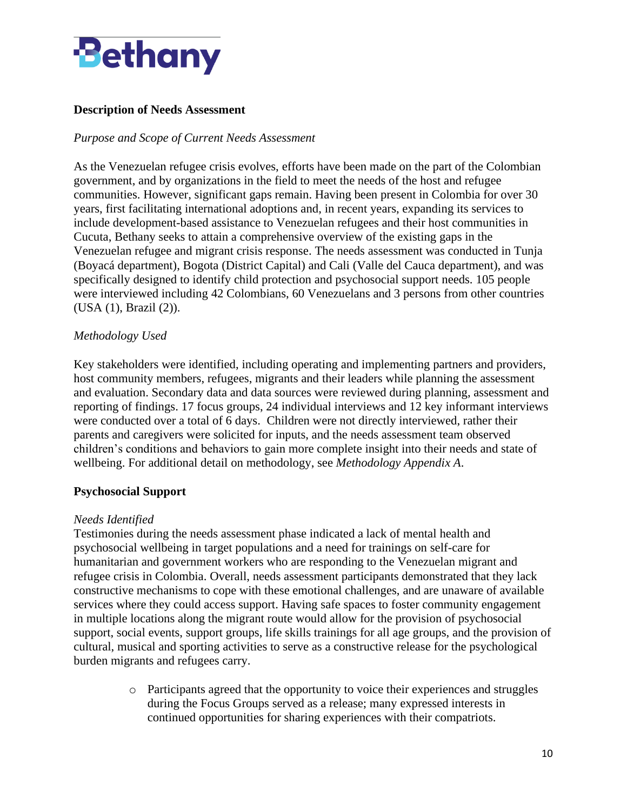

# **Description of Needs Assessment**

#### *Purpose and Scope of Current Needs Assessment*

As the Venezuelan refugee crisis evolves, efforts have been made on the part of the Colombian government, and by organizations in the field to meet the needs of the host and refugee communities. However, significant gaps remain. Having been present in Colombia for over 30 years, first facilitating international adoptions and, in recent years, expanding its services to include development-based assistance to Venezuelan refugees and their host communities in Cucuta, Bethany seeks to attain a comprehensive overview of the existing gaps in the Venezuelan refugee and migrant crisis response. The needs assessment was conducted in Tunja (Boyacá department), Bogota (District Capital) and Cali (Valle del Cauca department), and was specifically designed to identify child protection and psychosocial support needs. 105 people were interviewed including 42 Colombians, 60 Venezuelans and 3 persons from other countries (USA (1), Brazil (2)).

#### *Methodology Used*

Key stakeholders were identified, including operating and implementing partners and providers, host community members, refugees, migrants and their leaders while planning the assessment and evaluation. Secondary data and data sources were reviewed during planning, assessment and reporting of findings. 17 focus groups, 24 individual interviews and 12 key informant interviews were conducted over a total of 6 days. Children were not directly interviewed, rather their parents and caregivers were solicited for inputs, and the needs assessment team observed children's conditions and behaviors to gain more complete insight into their needs and state of wellbeing. For additional detail on methodology, see *Methodology Appendix A*.

#### **Psychosocial Support**

#### *Needs Identified*

Testimonies during the needs assessment phase indicated a lack of mental health and psychosocial wellbeing in target populations and a need for trainings on self-care for humanitarian and government workers who are responding to the Venezuelan migrant and refugee crisis in Colombia. Overall, needs assessment participants demonstrated that they lack constructive mechanisms to cope with these emotional challenges, and are unaware of available services where they could access support. Having safe spaces to foster community engagement in multiple locations along the migrant route would allow for the provision of psychosocial support, social events, support groups, life skills trainings for all age groups, and the provision of cultural, musical and sporting activities to serve as a constructive release for the psychological burden migrants and refugees carry.

> o Participants agreed that the opportunity to voice their experiences and struggles during the Focus Groups served as a release; many expressed interests in continued opportunities for sharing experiences with their compatriots.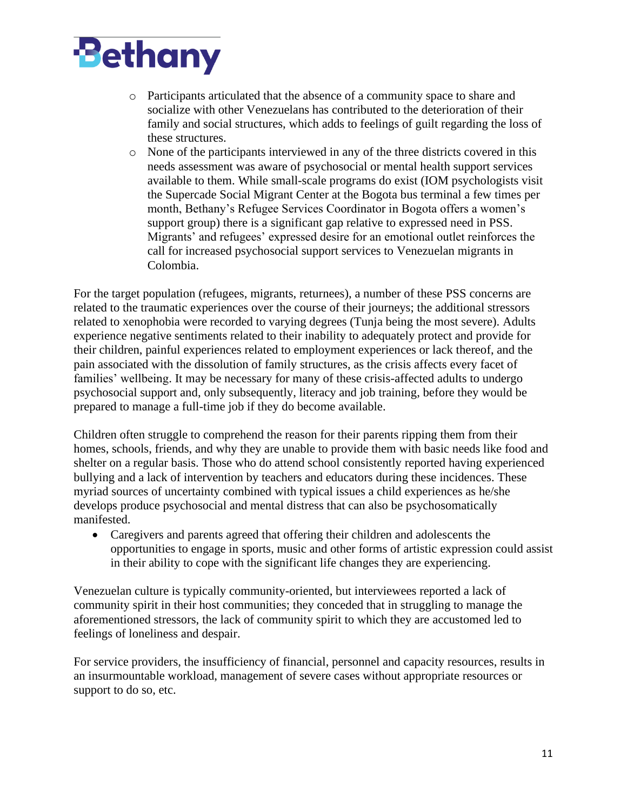

- o Participants articulated that the absence of a community space to share and socialize with other Venezuelans has contributed to the deterioration of their family and social structures, which adds to feelings of guilt regarding the loss of these structures.
- o None of the participants interviewed in any of the three districts covered in this needs assessment was aware of psychosocial or mental health support services available to them. While small-scale programs do exist (IOM psychologists visit the Supercade Social Migrant Center at the Bogota bus terminal a few times per month, Bethany's Refugee Services Coordinator in Bogota offers a women's support group) there is a significant gap relative to expressed need in PSS. Migrants' and refugees' expressed desire for an emotional outlet reinforces the call for increased psychosocial support services to Venezuelan migrants in Colombia.

For the target population (refugees, migrants, returnees), a number of these PSS concerns are related to the traumatic experiences over the course of their journeys; the additional stressors related to xenophobia were recorded to varying degrees (Tunja being the most severe). Adults experience negative sentiments related to their inability to adequately protect and provide for their children, painful experiences related to employment experiences or lack thereof, and the pain associated with the dissolution of family structures, as the crisis affects every facet of families' wellbeing. It may be necessary for many of these crisis-affected adults to undergo psychosocial support and, only subsequently, literacy and job training, before they would be prepared to manage a full-time job if they do become available.

Children often struggle to comprehend the reason for their parents ripping them from their homes, schools, friends, and why they are unable to provide them with basic needs like food and shelter on a regular basis. Those who do attend school consistently reported having experienced bullying and a lack of intervention by teachers and educators during these incidences. These myriad sources of uncertainty combined with typical issues a child experiences as he/she develops produce psychosocial and mental distress that can also be psychosomatically manifested.

• Caregivers and parents agreed that offering their children and adolescents the opportunities to engage in sports, music and other forms of artistic expression could assist in their ability to cope with the significant life changes they are experiencing.

Venezuelan culture is typically community-oriented, but interviewees reported a lack of community spirit in their host communities; they conceded that in struggling to manage the aforementioned stressors, the lack of community spirit to which they are accustomed led to feelings of loneliness and despair.

For service providers, the insufficiency of financial, personnel and capacity resources, results in an insurmountable workload, management of severe cases without appropriate resources or support to do so, etc.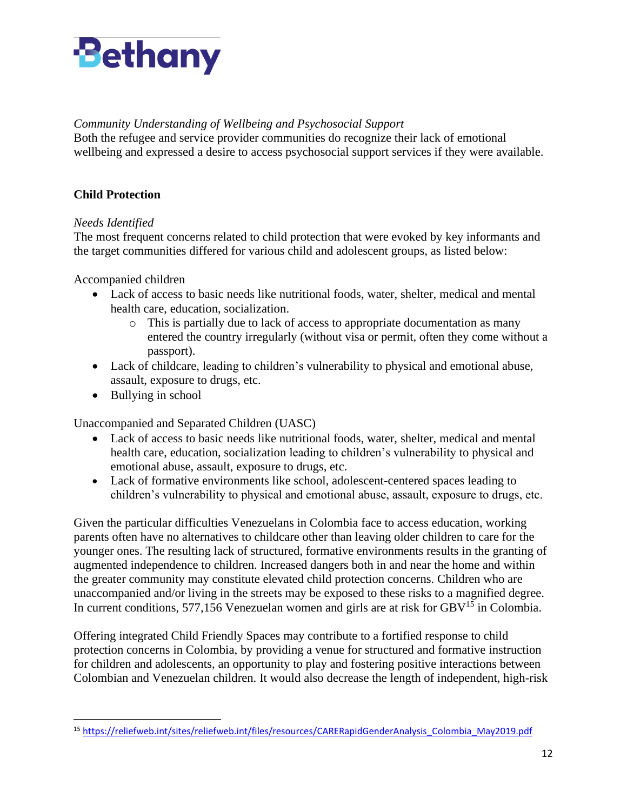

### *Community Understanding of Wellbeing and Psychosocial Support*

Both the refugee and service provider communities do recognize their lack of emotional wellbeing and expressed a desire to access psychosocial support services if they were available.

# **Child Protection**

#### *Needs Identified*

The most frequent concerns related to child protection that were evoked by key informants and the target communities differed for various child and adolescent groups, as listed below:

Accompanied children

- Lack of access to basic needs like nutritional foods, water, shelter, medical and mental health care, education, socialization.
	- o This is partially due to lack of access to appropriate documentation as many entered the country irregularly (without visa or permit, often they come without a passport).
- Lack of childcare, leading to children's vulnerability to physical and emotional abuse, assault, exposure to drugs, etc.
- Bullying in school

Unaccompanied and Separated Children (UASC)

- Lack of access to basic needs like nutritional foods, water, shelter, medical and mental health care, education, socialization leading to children's vulnerability to physical and emotional abuse, assault, exposure to drugs, etc.
- Lack of formative environments like school, adolescent-centered spaces leading to children's vulnerability to physical and emotional abuse, assault, exposure to drugs, etc.

Given the particular difficulties Venezuelans in Colombia face to access education, working parents often have no alternatives to childcare other than leaving older children to care for the younger ones. The resulting lack of structured, formative environments results in the granting of augmented independence to children. Increased dangers both in and near the home and within the greater community may constitute elevated child protection concerns. Children who are unaccompanied and/or living in the streets may be exposed to these risks to a magnified degree. In current conditions, 577,156 Venezuelan women and girls are at risk for  $GBV<sup>15</sup>$  in Colombia.

Offering integrated Child Friendly Spaces may contribute to a fortified response to child protection concerns in Colombia, by providing a venue for structured and formative instruction for children and adolescents, an opportunity to play and fostering positive interactions between Colombian and Venezuelan children. It would also decrease the length of independent, high-risk

<sup>15</sup> [https://reliefweb.int/sites/reliefweb.int/files/resources/CARERapidGenderAnalysis\\_Colombia\\_May2019.pdf](https://reliefweb.int/sites/reliefweb.int/files/resources/CARERapidGenderAnalysis_Colombia_May2019.pdf)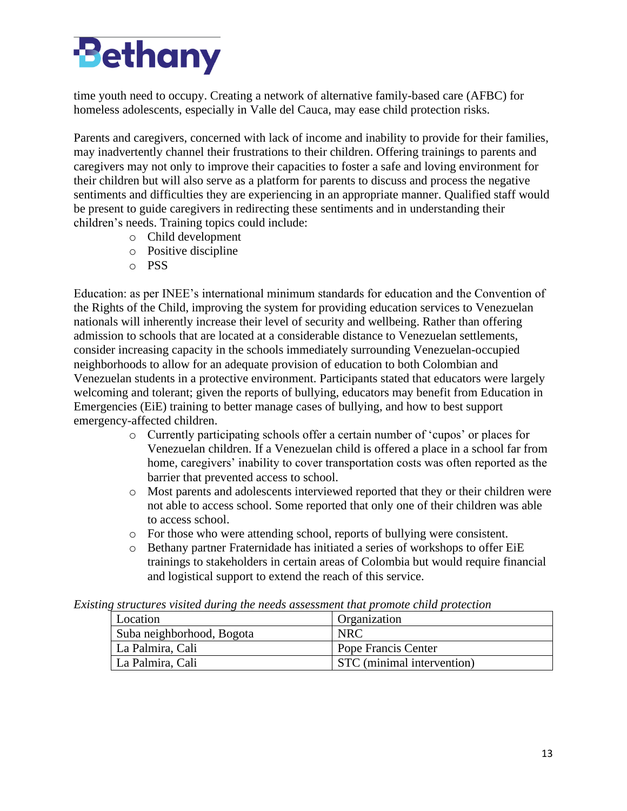# **Bethany**

time youth need to occupy. Creating a network of alternative family-based care (AFBC) for homeless adolescents, especially in Valle del Cauca, may ease child protection risks.

Parents and caregivers, concerned with lack of income and inability to provide for their families, may inadvertently channel their frustrations to their children. Offering trainings to parents and caregivers may not only to improve their capacities to foster a safe and loving environment for their children but will also serve as a platform for parents to discuss and process the negative sentiments and difficulties they are experiencing in an appropriate manner. Qualified staff would be present to guide caregivers in redirecting these sentiments and in understanding their children's needs. Training topics could include:

- o Child development
- o Positive discipline
- o PSS

Education: as per INEE's international minimum standards for education and the Convention of the Rights of the Child, improving the system for providing education services to Venezuelan nationals will inherently increase their level of security and wellbeing. Rather than offering admission to schools that are located at a considerable distance to Venezuelan settlements, consider increasing capacity in the schools immediately surrounding Venezuelan-occupied neighborhoods to allow for an adequate provision of education to both Colombian and Venezuelan students in a protective environment. Participants stated that educators were largely welcoming and tolerant; given the reports of bullying, educators may benefit from Education in Emergencies (EiE) training to better manage cases of bullying, and how to best support emergency-affected children.

- o Currently participating schools offer a certain number of 'cupos' or places for Venezuelan children. If a Venezuelan child is offered a place in a school far from home, caregivers' inability to cover transportation costs was often reported as the barrier that prevented access to school.
- o Most parents and adolescents interviewed reported that they or their children were not able to access school. Some reported that only one of their children was able to access school.
- o For those who were attending school, reports of bullying were consistent.
- o Bethany partner Fraternidade has initiated a series of workshops to offer EiE trainings to stakeholders in certain areas of Colombia but would require financial and logistical support to extend the reach of this service.

| кинд зи испитез тизней или нид тие несиз иззеззниети тийг ртоноге стиги ртонестият |                                   |  |  |  |  |  |
|------------------------------------------------------------------------------------|-----------------------------------|--|--|--|--|--|
| Location                                                                           | Organization                      |  |  |  |  |  |
| Suba neighborhood, Bogota                                                          | <b>NRC</b>                        |  |  |  |  |  |
| La Palmira, Cali                                                                   | Pope Francis Center               |  |  |  |  |  |
| La Palmira, Cali                                                                   | <b>STC</b> (minimal intervention) |  |  |  |  |  |

*Existing structures visited during the needs assessment that promote child protection*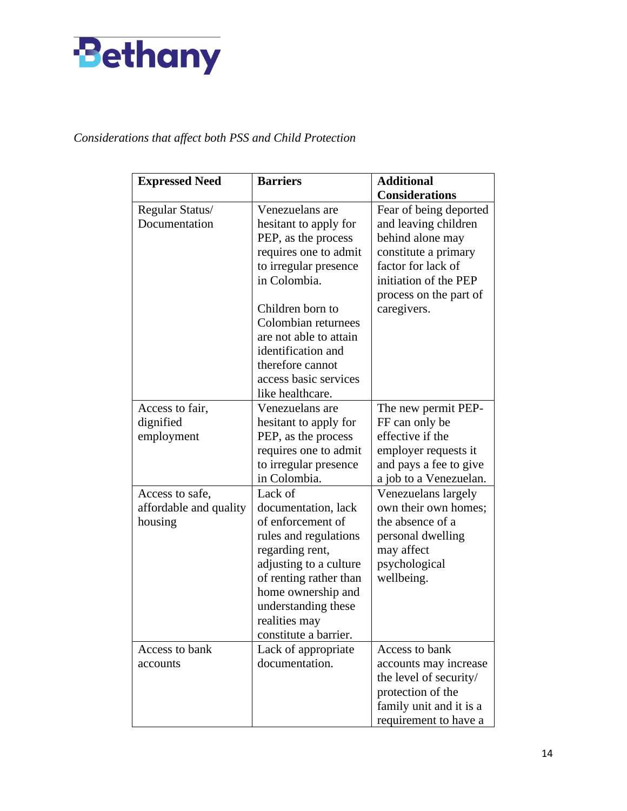

# *Considerations that affect both PSS and Child Protection*

| <b>Expressed Need</b>            | <b>Barriers</b>                          | <b>Additional</b>                              |
|----------------------------------|------------------------------------------|------------------------------------------------|
|                                  |                                          | <b>Considerations</b>                          |
| Regular Status/<br>Documentation | Venezuelans are<br>hesitant to apply for | Fear of being deported<br>and leaving children |
|                                  | PEP, as the process                      | behind alone may                               |
|                                  | requires one to admit                    | constitute a primary                           |
|                                  | to irregular presence                    | factor for lack of                             |
|                                  | in Colombia.                             | initiation of the PEP                          |
|                                  |                                          | process on the part of                         |
|                                  | Children born to                         | caregivers.                                    |
|                                  | Colombian returnees                      |                                                |
|                                  | are not able to attain                   |                                                |
|                                  | identification and                       |                                                |
|                                  | therefore cannot                         |                                                |
|                                  | access basic services                    |                                                |
|                                  | like healthcare.                         |                                                |
| Access to fair,                  | Venezuelans are                          | The new permit PEP-                            |
| dignified                        | hesitant to apply for                    | FF can only be                                 |
| employment                       | PEP, as the process                      | effective if the                               |
|                                  | requires one to admit                    | employer requests it                           |
|                                  | to irregular presence                    | and pays a fee to give                         |
|                                  | in Colombia.                             | a job to a Venezuelan.                         |
| Access to safe,                  | Lack of                                  | Venezuelans largely<br>own their own homes;    |
| affordable and quality           | documentation, lack<br>of enforcement of | the absence of a                               |
| housing                          | rules and regulations                    | personal dwelling                              |
|                                  | regarding rent,                          | may affect                                     |
|                                  | adjusting to a culture                   | psychological                                  |
|                                  | of renting rather than                   | wellbeing.                                     |
|                                  | home ownership and                       |                                                |
|                                  | understanding these                      |                                                |
|                                  | realities may                            |                                                |
|                                  | constitute a barrier.                    |                                                |
| Access to bank                   | Lack of appropriate                      | Access to bank                                 |
| accounts                         | documentation.                           | accounts may increase                          |
|                                  |                                          | the level of security/                         |
|                                  |                                          | protection of the                              |
|                                  |                                          | family unit and it is a                        |
|                                  |                                          | requirement to have a                          |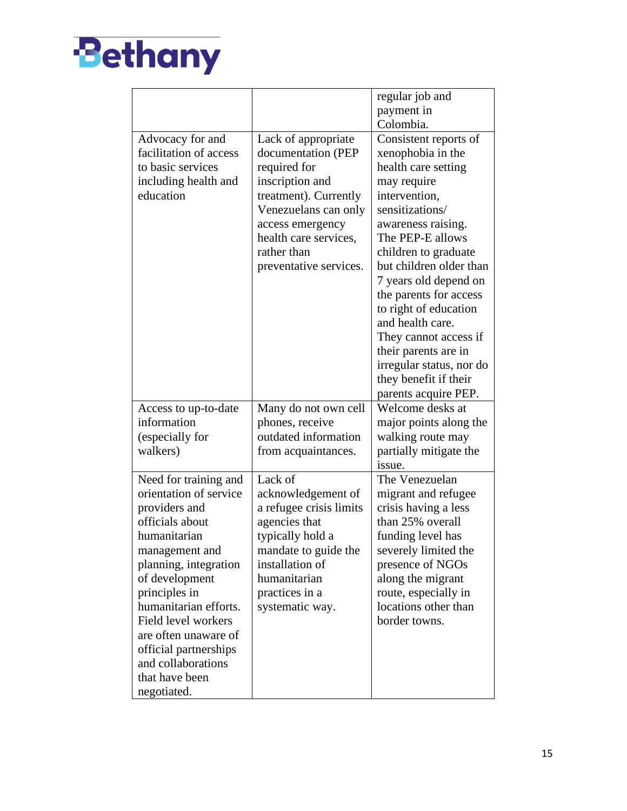

|                                                                                                                                                                                                                                                                                                                                           |                                                                                                                                                                                                                     | regular job and<br>payment in                                                                                                                                                                                                                                                                                                                                                                                                                   |
|-------------------------------------------------------------------------------------------------------------------------------------------------------------------------------------------------------------------------------------------------------------------------------------------------------------------------------------------|---------------------------------------------------------------------------------------------------------------------------------------------------------------------------------------------------------------------|-------------------------------------------------------------------------------------------------------------------------------------------------------------------------------------------------------------------------------------------------------------------------------------------------------------------------------------------------------------------------------------------------------------------------------------------------|
|                                                                                                                                                                                                                                                                                                                                           |                                                                                                                                                                                                                     | Colombia.                                                                                                                                                                                                                                                                                                                                                                                                                                       |
| Advocacy for and<br>facilitation of access<br>to basic services<br>including health and<br>education                                                                                                                                                                                                                                      | Lack of appropriate<br>documentation (PEP<br>required for<br>inscription and<br>treatment). Currently<br>Venezuelans can only<br>access emergency<br>health care services,<br>rather than<br>preventative services. | Consistent reports of<br>xenophobia in the<br>health care setting<br>may require<br>intervention,<br>sensitizations/<br>awareness raising.<br>The PEP-E allows<br>children to graduate<br>but children older than<br>7 years old depend on<br>the parents for access<br>to right of education<br>and health care.<br>They cannot access if<br>their parents are in<br>irregular status, nor do<br>they benefit if their<br>parents acquire PEP. |
| Access to up-to-date<br>information<br>(especially for<br>walkers)                                                                                                                                                                                                                                                                        | Many do not own cell<br>phones, receive<br>outdated information<br>from acquaintances.                                                                                                                              | Welcome desks at<br>major points along the<br>walking route may<br>partially mitigate the<br>issue.                                                                                                                                                                                                                                                                                                                                             |
| Need for training and<br>orientation of service<br>providers and<br>officials about<br>humanitarian<br>management and<br>planning, integration<br>of development<br>principles in<br>humanitarian efforts.<br>Field level workers<br>are often unaware of<br>official partnerships<br>and collaborations<br>that have been<br>negotiated. | Lack of<br>acknowledgement of<br>a refugee crisis limits<br>agencies that<br>typically hold a<br>mandate to guide the<br>installation of<br>humanitarian<br>practices in a<br>systematic way.                       | The Venezuelan<br>migrant and refugee<br>crisis having a less<br>than 25% overall<br>funding level has<br>severely limited the<br>presence of NGOs<br>along the migrant<br>route, especially in<br>locations other than<br>border towns.                                                                                                                                                                                                        |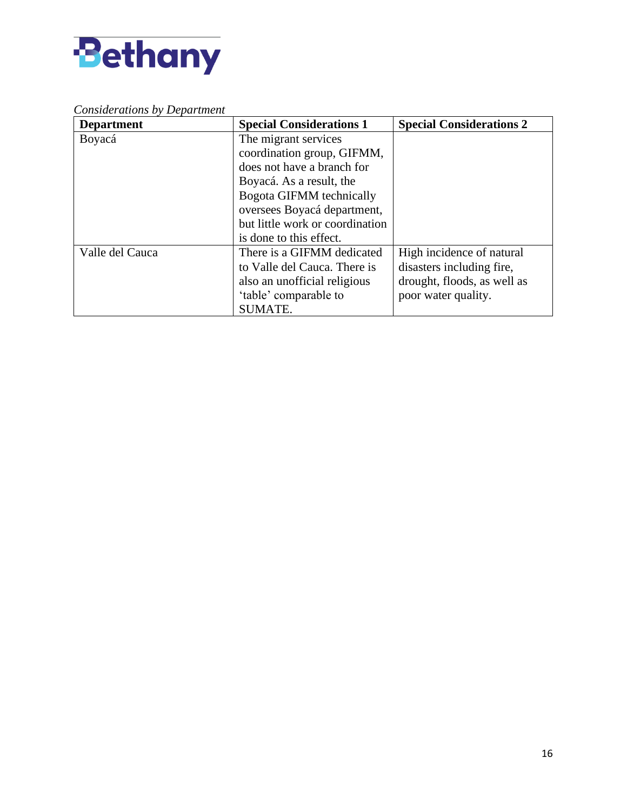

# *Considerations by Department*

| <b>Department</b> | <b>Special Considerations 1</b> | <b>Special Considerations 2</b> |
|-------------------|---------------------------------|---------------------------------|
| Boyacá            | The migrant services            |                                 |
|                   | coordination group, GIFMM,      |                                 |
|                   | does not have a branch for      |                                 |
|                   | Boyacá. As a result, the        |                                 |
|                   | Bogota GIFMM technically        |                                 |
|                   | oversees Boyacá department,     |                                 |
|                   | but little work or coordination |                                 |
|                   | is done to this effect.         |                                 |
| Valle del Cauca   | There is a GIFMM dedicated      | High incidence of natural       |
|                   | to Valle del Cauca. There is    | disasters including fire,       |
|                   | also an unofficial religious    | drought, floods, as well as     |
|                   | 'table' comparable to           | poor water quality.             |
|                   | <b>SUMATE.</b>                  |                                 |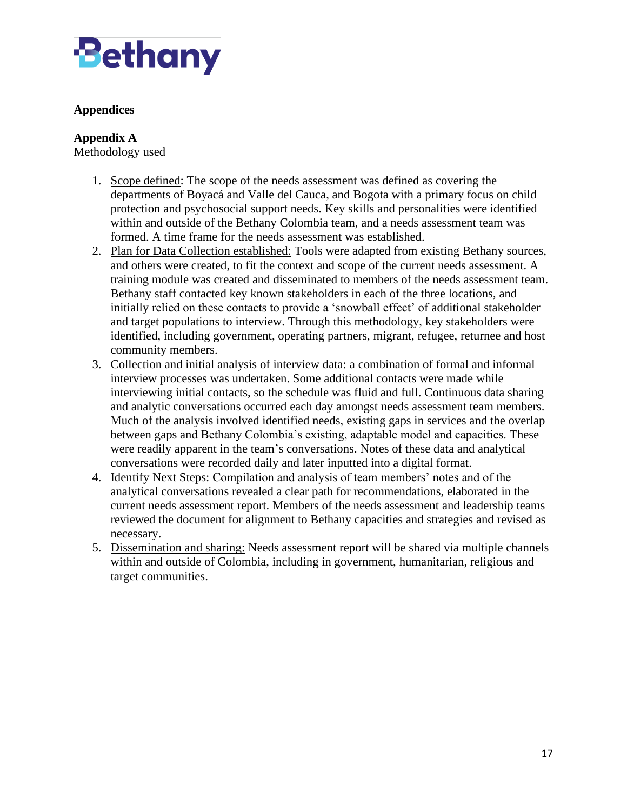

# **Appendices**

#### **Appendix A**

Methodology used

- 1. Scope defined: The scope of the needs assessment was defined as covering the departments of Boyacá and Valle del Cauca, and Bogota with a primary focus on child protection and psychosocial support needs. Key skills and personalities were identified within and outside of the Bethany Colombia team, and a needs assessment team was formed. A time frame for the needs assessment was established.
- 2. Plan for Data Collection established: Tools were adapted from existing Bethany sources, and others were created, to fit the context and scope of the current needs assessment. A training module was created and disseminated to members of the needs assessment team. Bethany staff contacted key known stakeholders in each of the three locations, and initially relied on these contacts to provide a 'snowball effect' of additional stakeholder and target populations to interview. Through this methodology, key stakeholders were identified, including government, operating partners, migrant, refugee, returnee and host community members.
- 3. Collection and initial analysis of interview data: a combination of formal and informal interview processes was undertaken. Some additional contacts were made while interviewing initial contacts, so the schedule was fluid and full. Continuous data sharing and analytic conversations occurred each day amongst needs assessment team members. Much of the analysis involved identified needs, existing gaps in services and the overlap between gaps and Bethany Colombia's existing, adaptable model and capacities. These were readily apparent in the team's conversations. Notes of these data and analytical conversations were recorded daily and later inputted into a digital format.
- 4. Identify Next Steps: Compilation and analysis of team members' notes and of the analytical conversations revealed a clear path for recommendations, elaborated in the current needs assessment report. Members of the needs assessment and leadership teams reviewed the document for alignment to Bethany capacities and strategies and revised as necessary.
- 5. Dissemination and sharing: Needs assessment report will be shared via multiple channels within and outside of Colombia, including in government, humanitarian, religious and target communities.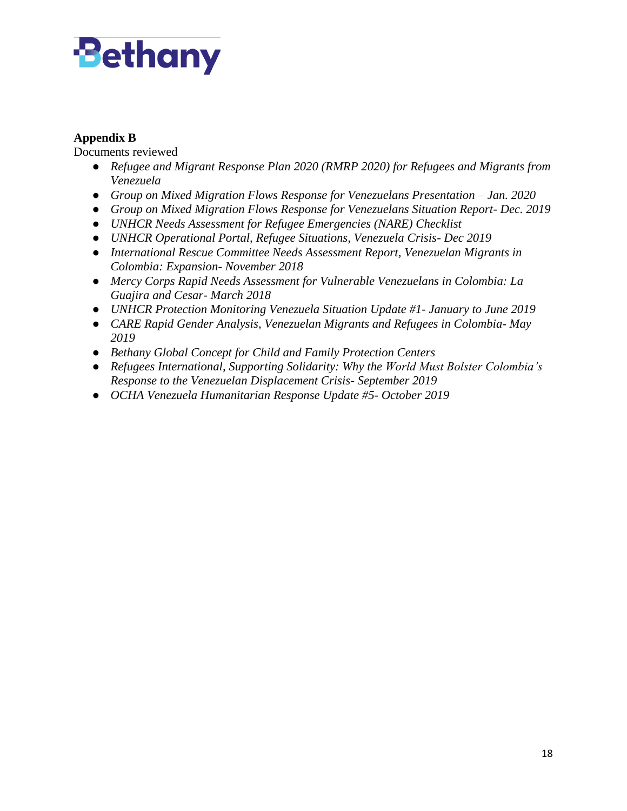# **Bethany**

# **Appendix B**

Documents reviewed

- *Refugee and Migrant Response Plan 2020 (RMRP 2020) for Refugees and Migrants from Venezuela*
- *Group on Mixed Migration Flows Response for Venezuelans Presentation – Jan. 2020*
- *Group on Mixed Migration Flows Response for Venezuelans Situation Report- Dec. 2019*
- *UNHCR Needs Assessment for Refugee Emergencies (NARE) Checklist*
- *UNHCR Operational Portal, Refugee Situations, Venezuela Crisis- Dec 2019*
- *International Rescue Committee Needs Assessment Report, Venezuelan Migrants in Colombia: Expansion- November 2018*
- *Mercy Corps Rapid Needs Assessment for Vulnerable Venezuelans in Colombia: La Guajira and Cesar- March 2018*
- *UNHCR Protection Monitoring Venezuela Situation Update #1- January to June 2019*
- *CARE Rapid Gender Analysis, Venezuelan Migrants and Refugees in Colombia- May 2019*
- *Bethany Global Concept for Child and Family Protection Centers*
- *Refugees International, Supporting Solidarity: Why the World Must Bolster Colombia's Response to the Venezuelan Displacement Crisis- September 2019*
- *OCHA Venezuela Humanitarian Response Update #5- October 2019*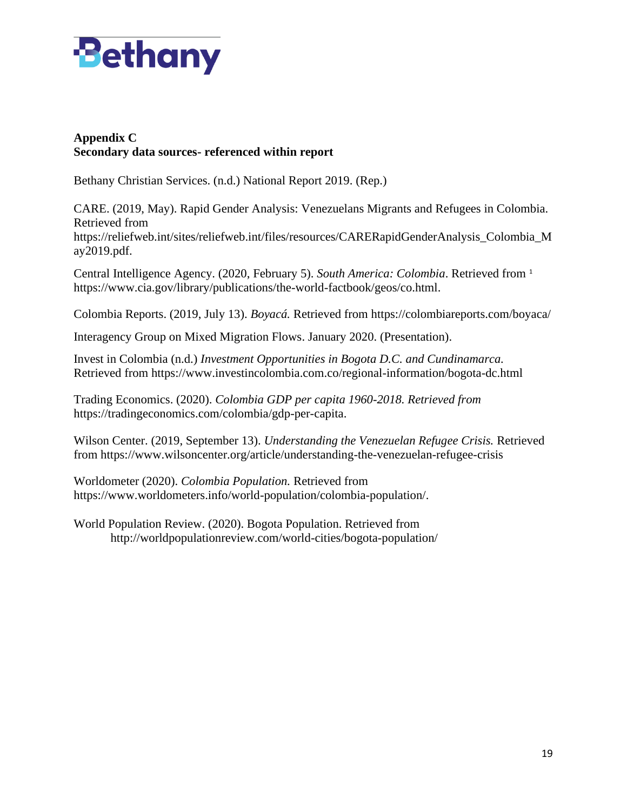

# **Appendix C Secondary data sources- referenced within report**

Bethany Christian Services. (n.d.) National Report 2019. (Rep.)

CARE. (2019, May). Rapid Gender Analysis: Venezuelans Migrants and Refugees in Colombia. Retrieved from [https://reliefweb.int/sites/reliefweb.int/files/resources/CARERapidGenderAnalysis\\_Colombia\\_M](https://reliefweb.int/sites/reliefweb.int/files/resources/CARERapidGenderAnalysis_Colombia_May2019.pdf) [ay2019.pdf.](https://reliefweb.int/sites/reliefweb.int/files/resources/CARERapidGenderAnalysis_Colombia_May2019.pdf)

Central Intelligence Agency. (2020, February 5). *South America: Colombia*. Retrieved from <sup>1</sup> [https://www.cia.gov/library/publications/the-world-factbook/geos/co.html.](https://www.cia.gov/library/publications/the-world-factbook/geos/co.html)

Colombia Reports. (2019, July 13). *Boyacá.* Retrieved from<https://colombiareports.com/boyaca/>

Interagency Group on Mixed Migration Flows. January 2020. (Presentation).

Invest in Colombia (n.d.) *Investment Opportunities in Bogota D.C. and Cundinamarca.* Retrieved from<https://www.investincolombia.com.co/regional-information/bogota-dc.html>

Trading Economics. (2020). *Colombia GDP per capita 1960-2018. Retrieved from*  [https://tradingeconomics.com/colombia/gdp-per-capita.](https://tradingeconomics.com/colombia/gdp-per-capita)

Wilson Center. (2019, September 13). *Understanding the Venezuelan Refugee Crisis.* Retrieved from<https://www.wilsoncenter.org/article/understanding-the-venezuelan-refugee-crisis>

Worldometer (2020). *Colombia Population.* Retrieved from [https://www.worldometers.info/world-population/colombia-population/.](https://www.worldometers.info/world-population/colombia-population/)

World Population Review. (2020). Bogota Population. Retrieved from <http://worldpopulationreview.com/world-cities/bogota-population/>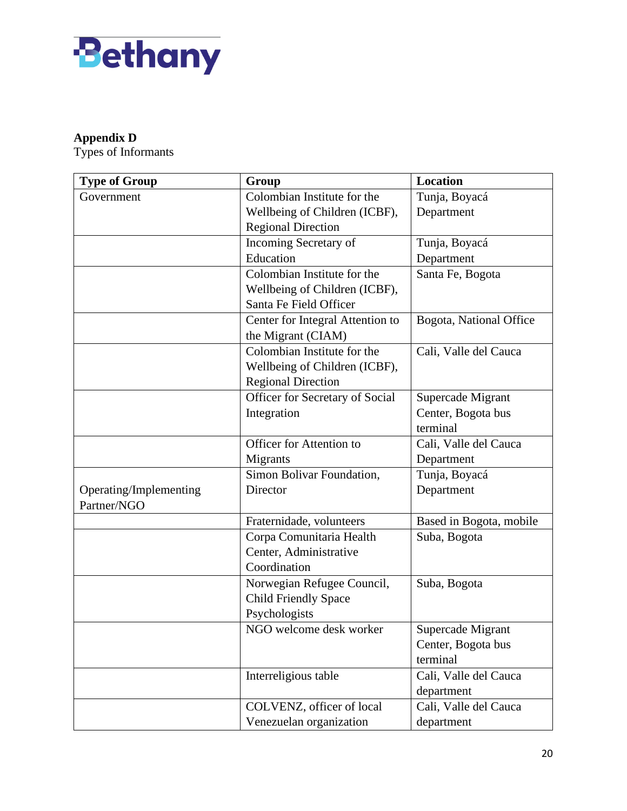

# **Appendix D**

Types of Informants

| <b>Type of Group</b>   | Group                            | <b>Location</b>         |
|------------------------|----------------------------------|-------------------------|
| Government             | Colombian Institute for the      | Tunja, Boyacá           |
|                        | Wellbeing of Children (ICBF),    | Department              |
|                        | <b>Regional Direction</b>        |                         |
|                        | Incoming Secretary of            | Tunja, Boyacá           |
|                        | Education                        | Department              |
|                        | Colombian Institute for the      | Santa Fe, Bogota        |
|                        | Wellbeing of Children (ICBF),    |                         |
|                        | Santa Fe Field Officer           |                         |
|                        | Center for Integral Attention to | Bogota, National Office |
|                        | the Migrant (CIAM)               |                         |
|                        | Colombian Institute for the      | Cali, Valle del Cauca   |
|                        | Wellbeing of Children (ICBF),    |                         |
|                        | <b>Regional Direction</b>        |                         |
|                        | Officer for Secretary of Social  | Supercade Migrant       |
|                        | Integration                      | Center, Bogota bus      |
|                        |                                  | terminal                |
|                        | Officer for Attention to         | Cali, Valle del Cauca   |
|                        | Migrants                         | Department              |
|                        | Simon Bolivar Foundation,        | Tunja, Boyacá           |
| Operating/Implementing | Director                         | Department              |
| Partner/NGO            |                                  |                         |
|                        | Fraternidade, volunteers         | Based in Bogota, mobile |
|                        | Corpa Comunitaria Health         | Suba, Bogota            |
|                        | Center, Administrative           |                         |
|                        | Coordination                     |                         |
|                        | Norwegian Refugee Council,       | Suba, Bogota            |
|                        | <b>Child Friendly Space</b>      |                         |
|                        | Psychologists                    |                         |
|                        | NGO welcome desk worker          | Supercade Migrant       |
|                        |                                  | Center, Bogota bus      |
|                        |                                  | terminal                |
|                        | Interreligious table             | Cali, Valle del Cauca   |
|                        |                                  | department              |
|                        | COLVENZ, officer of local        | Cali, Valle del Cauca   |
|                        | Venezuelan organization          | department              |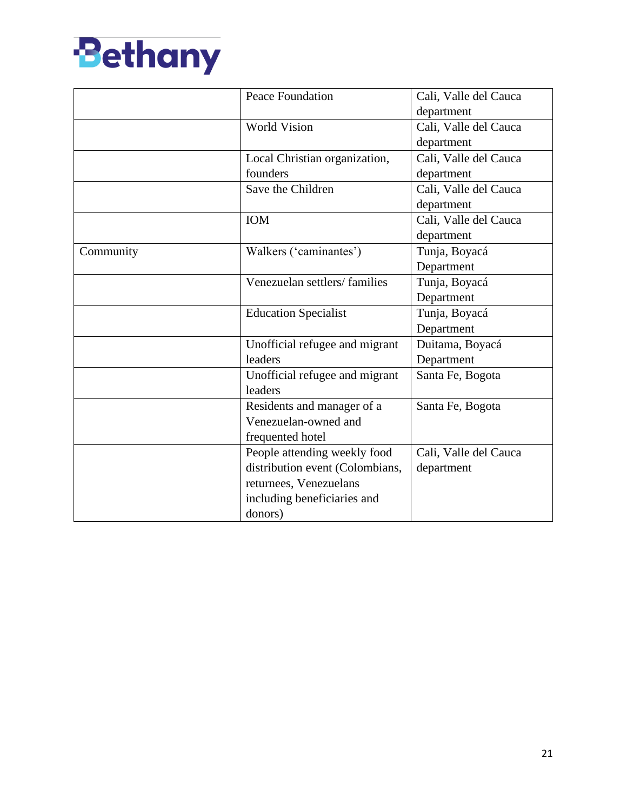

|           | <b>Peace Foundation</b>         | Cali, Valle del Cauca |
|-----------|---------------------------------|-----------------------|
|           |                                 | department            |
|           | <b>World Vision</b>             | Cali, Valle del Cauca |
|           |                                 | department            |
|           | Local Christian organization,   | Cali, Valle del Cauca |
|           | founders                        | department            |
|           | Save the Children               | Cali, Valle del Cauca |
|           |                                 | department            |
|           | IOM                             | Cali, Valle del Cauca |
|           |                                 | department            |
| Community | Walkers ('caminantes')          | Tunja, Boyacá         |
|           |                                 | Department            |
|           | Venezuelan settlers/families    | Tunja, Boyacá         |
|           |                                 | Department            |
|           | <b>Education Specialist</b>     | Tunja, Boyacá         |
|           |                                 | Department            |
|           | Unofficial refugee and migrant  | Duitama, Boyacá       |
|           | leaders                         | Department            |
|           | Unofficial refugee and migrant  | Santa Fe, Bogota      |
|           | leaders                         |                       |
|           | Residents and manager of a      | Santa Fe, Bogota      |
|           | Venezuelan-owned and            |                       |
|           | frequented hotel                |                       |
|           | People attending weekly food    | Cali, Valle del Cauca |
|           | distribution event (Colombians, | department            |
|           | returnees, Venezuelans          |                       |
|           | including beneficiaries and     |                       |
|           | donors)                         |                       |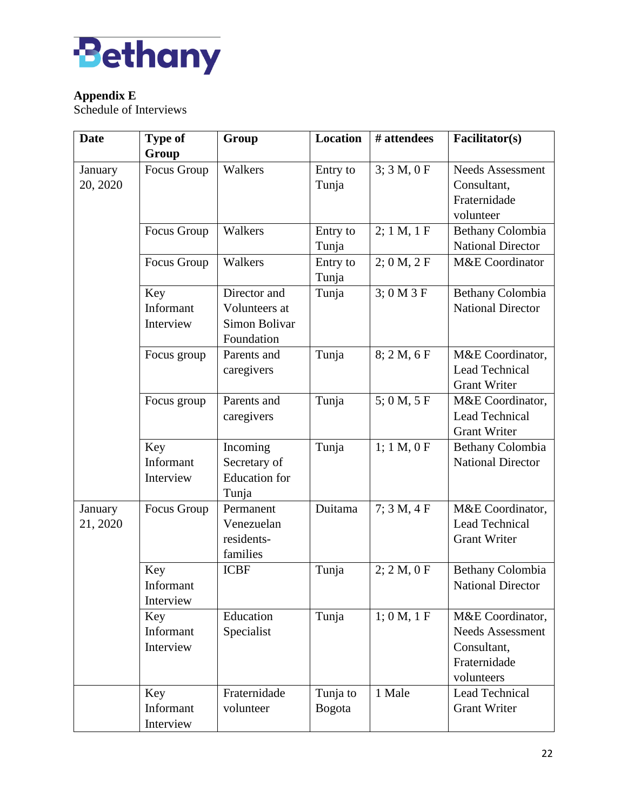

# **Appendix E**

Schedule of Interviews

| <b>Date</b>         | <b>Type of</b> | Group                | <b>Location</b>   | # attendees | Facilitator(s)           |
|---------------------|----------------|----------------------|-------------------|-------------|--------------------------|
|                     | Group          |                      |                   |             |                          |
| January             | Focus Group    | Walkers              | Entry to          | 3; 3 M, 0 F | <b>Needs Assessment</b>  |
| 20, 2020            |                |                      | Tunja             |             | Consultant,              |
|                     |                |                      |                   |             | Fraternidade             |
|                     |                |                      |                   |             | volunteer                |
|                     | Focus Group    | Walkers              | Entry to          | 2; 1 M, 1 F | Bethany Colombia         |
|                     |                |                      | Tunja             |             | <b>National Director</b> |
|                     | Focus Group    | Walkers              | Entry to<br>Tunja | 2; 0 M, 2 F | M&E Coordinator          |
|                     | Key            | Director and         | Tunja             | 3; 0 M 3 F  | Bethany Colombia         |
|                     | Informant      | Volunteers at        |                   |             | <b>National Director</b> |
|                     | Interview      | Simon Bolivar        |                   |             |                          |
|                     |                | Foundation           |                   |             |                          |
|                     | Focus group    | Parents and          | Tunja             | 8; 2 M, 6 F | M&E Coordinator,         |
|                     |                | caregivers           |                   |             | Lead Technical           |
|                     |                |                      |                   |             | <b>Grant Writer</b>      |
|                     | Focus group    | Parents and          | Tunja             | 5;0 M, 5 F  | M&E Coordinator,         |
|                     |                | caregivers           |                   |             | <b>Lead Technical</b>    |
|                     |                |                      |                   |             | <b>Grant Writer</b>      |
|                     | Key            | Incoming             | Tunja             | 1; 1 M, 0 F | Bethany Colombia         |
|                     | Informant      | Secretary of         |                   |             | <b>National Director</b> |
|                     | Interview      | <b>Education</b> for |                   |             |                          |
|                     | Focus Group    | Tunja<br>Permanent   | Duitama           | 7; 3 M, 4 F | M&E Coordinator,         |
| January<br>21, 2020 |                | Venezuelan           |                   |             | Lead Technical           |
|                     |                | residents-           |                   |             | <b>Grant Writer</b>      |
|                     |                | families             |                   |             |                          |
|                     | Key            | <b>ICBF</b>          | Tunja             | 2; 2 M, 0 F | Bethany Colombia         |
|                     | Informant      |                      |                   |             | <b>National Director</b> |
|                     | Interview      |                      |                   |             |                          |
|                     | Key            | Education            | Tunja             | 1; 0 M, 1 F | M&E Coordinator,         |
|                     | Informant      | Specialist           |                   |             | <b>Needs Assessment</b>  |
|                     | Interview      |                      |                   |             | Consultant,              |
|                     |                |                      |                   |             | Fraternidade             |
|                     |                |                      |                   |             | volunteers               |
|                     | Key            | Fraternidade         | Tunja to          | 1 Male      | Lead Technical           |
|                     | Informant      | volunteer            | <b>Bogota</b>     |             | <b>Grant Writer</b>      |
|                     | Interview      |                      |                   |             |                          |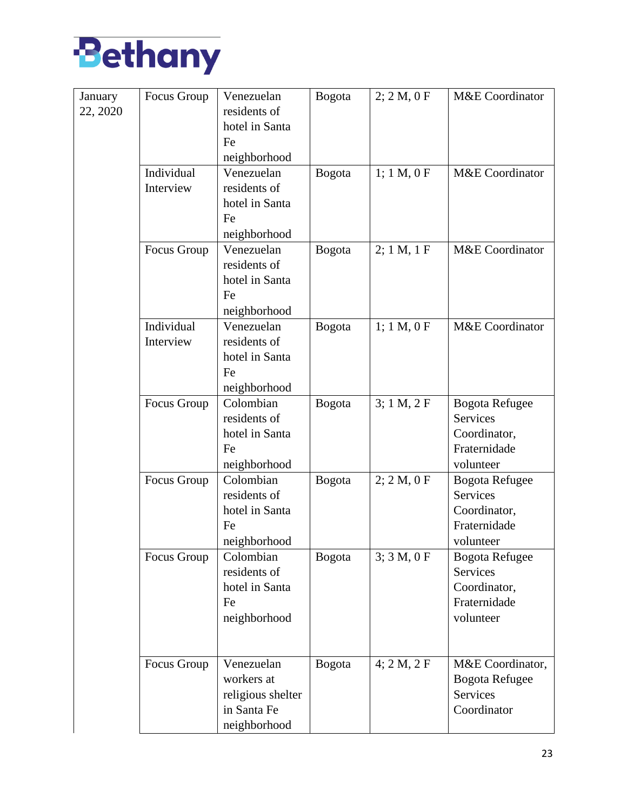

| January  | Focus Group | Venezuelan        | <b>Bogota</b> | 2; 2 M, 0 F | M&E Coordinator       |
|----------|-------------|-------------------|---------------|-------------|-----------------------|
| 22, 2020 |             | residents of      |               |             |                       |
|          |             | hotel in Santa    |               |             |                       |
|          |             | Fe                |               |             |                       |
|          |             | neighborhood      |               |             |                       |
|          | Individual  | Venezuelan        | Bogota        | 1; 1 M, 0 F | M&E Coordinator       |
|          | Interview   | residents of      |               |             |                       |
|          |             | hotel in Santa    |               |             |                       |
|          |             | Fe                |               |             |                       |
|          |             | neighborhood      |               |             |                       |
|          | Focus Group | Venezuelan        | <b>Bogota</b> | 2; 1 M, 1 F | M&E Coordinator       |
|          |             | residents of      |               |             |                       |
|          |             | hotel in Santa    |               |             |                       |
|          |             | Fe                |               |             |                       |
|          |             | neighborhood      |               |             |                       |
|          | Individual  | Venezuelan        | <b>Bogota</b> | 1; 1 M, 0 F | M&E Coordinator       |
|          | Interview   | residents of      |               |             |                       |
|          |             | hotel in Santa    |               |             |                       |
|          |             | Fe                |               |             |                       |
|          |             | neighborhood      |               |             |                       |
|          | Focus Group | Colombian         | <b>Bogota</b> | 3; 1 M, 2 F | <b>Bogota Refugee</b> |
|          |             | residents of      |               |             | Services              |
|          |             | hotel in Santa    |               |             | Coordinator,          |
|          |             | Fe                |               |             | Fraternidade          |
|          |             | neighborhood      |               |             | volunteer             |
|          | Focus Group | Colombian         | <b>Bogota</b> | 2; 2 M, 0 F | <b>Bogota Refugee</b> |
|          |             | residents of      |               |             | Services              |
|          |             | hotel in Santa    |               |             | Coordinator,          |
|          |             | Fe                |               |             | Fraternidade          |
|          |             | neighborhood      |               |             | volunteer             |
|          | Focus Group | Colombian         | <b>Bogota</b> | 3; 3 M, 0 F | <b>Bogota Refugee</b> |
|          |             | residents of      |               |             | Services              |
|          |             | hotel in Santa    |               |             | Coordinator,          |
|          |             | Fe                |               |             | Fraternidade          |
|          |             | neighborhood      |               |             | volunteer             |
|          |             |                   |               |             |                       |
|          |             |                   |               |             |                       |
|          | Focus Group | Venezuelan        | <b>Bogota</b> | 4; 2 M, 2 F | M&E Coordinator,      |
|          |             | workers at        |               |             | <b>Bogota Refugee</b> |
|          |             | religious shelter |               |             | Services              |
|          |             | in Santa Fe       |               |             | Coordinator           |
|          |             | neighborhood      |               |             |                       |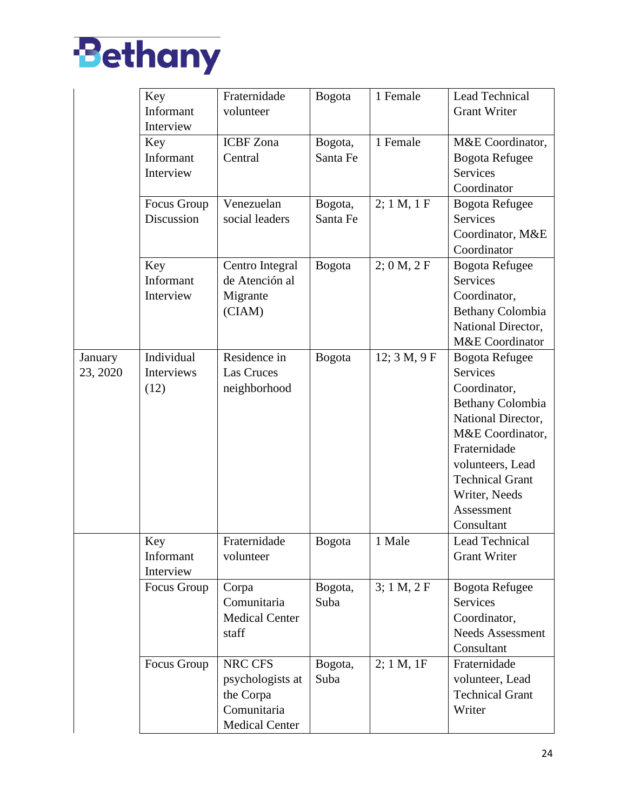

|          | Key         | Fraternidade          | <b>Bogota</b> | 1 Female     | Lead Technical          |
|----------|-------------|-----------------------|---------------|--------------|-------------------------|
|          | Informant   | volunteer             |               |              | <b>Grant Writer</b>     |
|          | Interview   |                       |               |              |                         |
|          | Key         | <b>ICBF</b> Zona      | Bogota,       | 1 Female     | M&E Coordinator,        |
|          | Informant   | Central               | Santa Fe      |              | <b>Bogota Refugee</b>   |
|          | Interview   |                       |               |              | <b>Services</b>         |
|          |             |                       |               |              | Coordinator             |
|          | Focus Group | Venezuelan            | Bogota,       | 2; 1 M, 1 F  | <b>Bogota Refugee</b>   |
|          | Discussion  | social leaders        | Santa Fe      |              | <b>Services</b>         |
|          |             |                       |               |              | Coordinator, M&E        |
|          |             |                       |               |              | Coordinator             |
|          | Key         | Centro Integral       | <b>Bogota</b> | 2; 0 M, 2 F  | <b>Bogota Refugee</b>   |
|          | Informant   | de Atención al        |               |              | <b>Services</b>         |
|          | Interview   | Migrante              |               |              | Coordinator,            |
|          |             | (CIAM)                |               |              | <b>Bethany Colombia</b> |
|          |             |                       |               |              | National Director,      |
|          |             |                       |               |              | M&E Coordinator         |
| January  | Individual  | Residence in          | <b>Bogota</b> | 12; 3 M, 9 F | <b>Bogota Refugee</b>   |
| 23, 2020 | Interviews  | <b>Las Cruces</b>     |               |              | <b>Services</b>         |
|          | (12)        | neighborhood          |               |              | Coordinator,            |
|          |             |                       |               |              | <b>Bethany Colombia</b> |
|          |             |                       |               |              | National Director,      |
|          |             |                       |               |              | M&E Coordinator,        |
|          |             |                       |               |              | Fraternidade            |
|          |             |                       |               |              | volunteers, Lead        |
|          |             |                       |               |              | <b>Technical Grant</b>  |
|          |             |                       |               |              | Writer, Needs           |
|          |             |                       |               |              | Assessment              |
|          |             |                       |               |              | Consultant              |
|          | Key         | Fraternidade          | <b>Bogota</b> | 1 Male       | Lead Technical          |
|          | Informant   | volunteer             |               |              | <b>Grant Writer</b>     |
|          | Interview   |                       |               |              |                         |
|          | Focus Group | Corpa                 | Bogota,       | 3; 1 M, 2 F  | Bogota Refugee          |
|          |             | Comunitaria           | Suba          |              | Services                |
|          |             | <b>Medical Center</b> |               |              | Coordinator,            |
|          |             | staff                 |               |              | <b>Needs Assessment</b> |
|          |             |                       |               |              | Consultant              |
|          | Focus Group | NRC CFS               | Bogota,       | 2; 1 M, 1F   | Fraternidade            |
|          |             | psychologists at      | Suba          |              | volunteer, Lead         |
|          |             | the Corpa             |               |              | <b>Technical Grant</b>  |
|          |             | Comunitaria           |               |              | Writer                  |
|          |             | <b>Medical Center</b> |               |              |                         |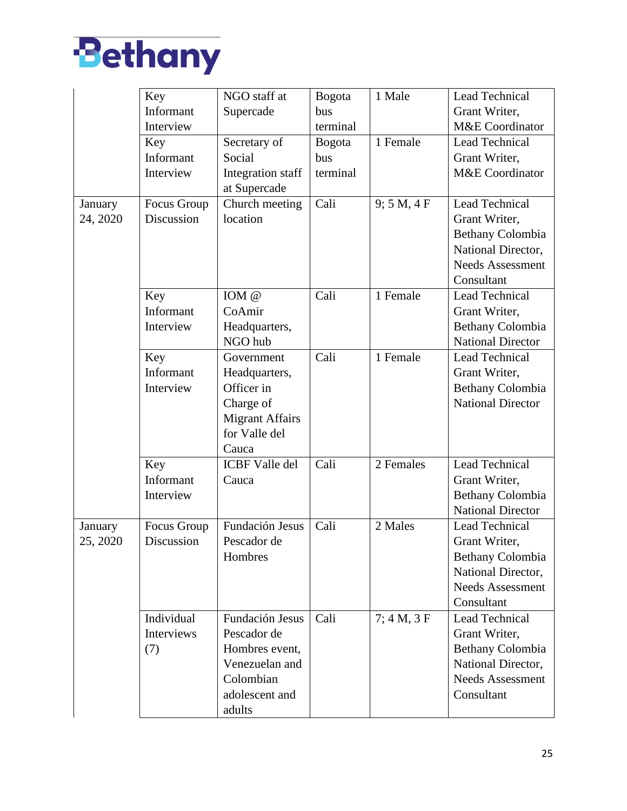

|          | Key         | NGO staff at           | <b>Bogota</b> | 1 Male      | <b>Lead Technical</b>    |
|----------|-------------|------------------------|---------------|-------------|--------------------------|
|          | Informant   | Supercade              | bus           |             | Grant Writer,            |
|          | Interview   |                        | terminal      |             | M&E Coordinator          |
|          | Key         | Secretary of           | <b>Bogota</b> | 1 Female    | Lead Technical           |
|          | Informant   | Social                 | bus           |             | Grant Writer,            |
|          | Interview   | Integration staff      | terminal      |             | M&E Coordinator          |
|          |             | at Supercade           |               |             |                          |
| January  | Focus Group | Church meeting         | Cali          | 9; 5 M, 4 F | Lead Technical           |
| 24, 2020 | Discussion  | location               |               |             | Grant Writer,            |
|          |             |                        |               |             | Bethany Colombia         |
|          |             |                        |               |             | National Director,       |
|          |             |                        |               |             | <b>Needs Assessment</b>  |
|          |             |                        |               |             | Consultant               |
|          | Key         | IOM @                  | Cali          | 1 Female    | Lead Technical           |
|          | Informant   | CoAmir                 |               |             | Grant Writer,            |
|          | Interview   | Headquarters,          |               |             | Bethany Colombia         |
|          |             | NGO hub                |               |             | <b>National Director</b> |
|          | Key         | Government             | Cali          | 1 Female    | Lead Technical           |
|          | Informant   | Headquarters,          |               |             | Grant Writer,            |
|          | Interview   | Officer in             |               |             | Bethany Colombia         |
|          |             | Charge of              |               |             | <b>National Director</b> |
|          |             | <b>Migrant Affairs</b> |               |             |                          |
|          |             | for Valle del          |               |             |                          |
|          |             | Cauca                  |               |             |                          |
|          | Key         | <b>ICBF Valle del</b>  | Cali          | 2 Females   | Lead Technical           |
|          | Informant   | Cauca                  |               |             | Grant Writer,            |
|          | Interview   |                        |               |             | Bethany Colombia         |
|          |             |                        |               |             | <b>National Director</b> |
| January  | Focus Group | Fundación Jesus        | Cali          | 2 Males     | Lead Technical           |
| 25, 2020 | Discussion  | Pescador de            |               |             | Grant Writer,            |
|          |             | Hombres                |               |             | Bethany Colombia         |
|          |             |                        |               |             | National Director,       |
|          |             |                        |               |             | <b>Needs Assessment</b>  |
|          |             |                        |               |             | Consultant               |
|          | Individual  | Fundación Jesus        | Cali          | 7; 4 M, 3 F | <b>Lead Technical</b>    |
|          | Interviews  | Pescador de            |               |             | Grant Writer,            |
|          | (7)         | Hombres event,         |               |             | Bethany Colombia         |
|          |             | Venezuelan and         |               |             | National Director,       |
|          |             | Colombian              |               |             | Needs Assessment         |
|          |             | adolescent and         |               |             | Consultant               |
|          |             | adults                 |               |             |                          |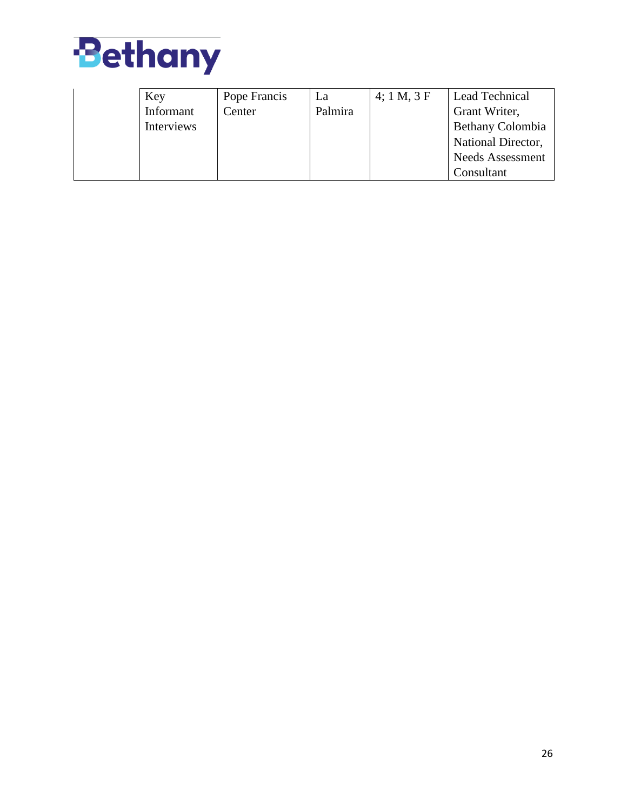

| Key        | Pope Francis | La      | 4:1 M, 3 F | Lead Technical          |
|------------|--------------|---------|------------|-------------------------|
| Informant  | Center       | Palmira |            | Grant Writer,           |
| Interviews |              |         |            | <b>Bethany Colombia</b> |
|            |              |         |            | National Director,      |
|            |              |         |            | <b>Needs Assessment</b> |
|            |              |         |            | Consultant              |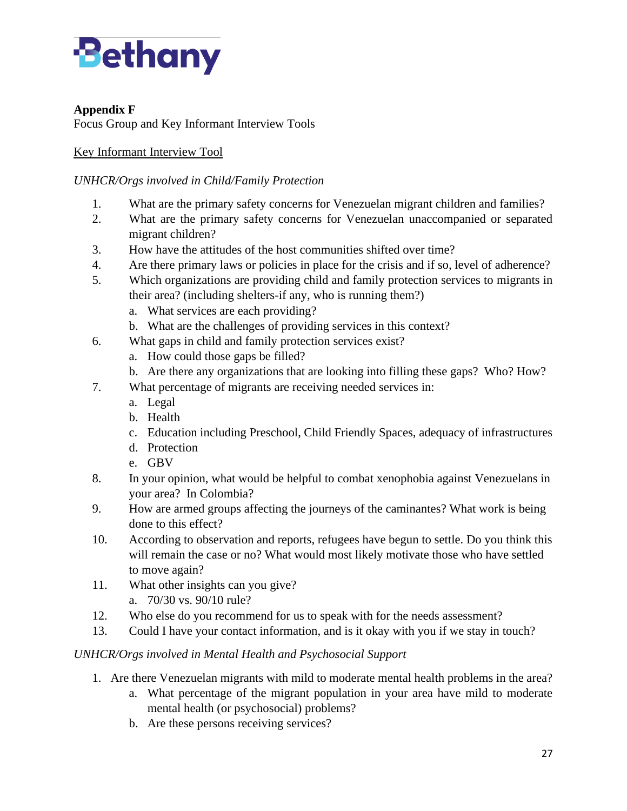

# **Appendix F**

Focus Group and Key Informant Interview Tools

# Key Informant Interview Tool

# *UNHCR/Orgs involved in Child/Family Protection*

- 1. What are the primary safety concerns for Venezuelan migrant children and families?
- 2. What are the primary safety concerns for Venezuelan unaccompanied or separated migrant children?
- 3. How have the attitudes of the host communities shifted over time?
- 4. Are there primary laws or policies in place for the crisis and if so, level of adherence?
- 5. Which organizations are providing child and family protection services to migrants in their area? (including shelters-if any, who is running them?)
	- a. What services are each providing?
	- b. What are the challenges of providing services in this context?
- 6. What gaps in child and family protection services exist?
	- a. How could those gaps be filled?
	- b. Are there any organizations that are looking into filling these gaps? Who? How?
- 7. What percentage of migrants are receiving needed services in:
	- a. Legal
	- b. Health
	- c. Education including Preschool, Child Friendly Spaces, adequacy of infrastructures
	- d. Protection
	- e. GBV
- 8. In your opinion, what would be helpful to combat xenophobia against Venezuelans in your area? In Colombia?
- 9. How are armed groups affecting the journeys of the caminantes? What work is being done to this effect?
- 10. According to observation and reports, refugees have begun to settle. Do you think this will remain the case or no? What would most likely motivate those who have settled to move again?
- 11. What other insights can you give?
	- a. 70/30 vs. 90/10 rule?
- 12. Who else do you recommend for us to speak with for the needs assessment?
- 13. Could I have your contact information, and is it okay with you if we stay in touch?

### *UNHCR/Orgs involved in Mental Health and Psychosocial Support*

- 1. Are there Venezuelan migrants with mild to moderate mental health problems in the area?
	- a. What percentage of the migrant population in your area have mild to moderate mental health (or psychosocial) problems?
	- b. Are these persons receiving services?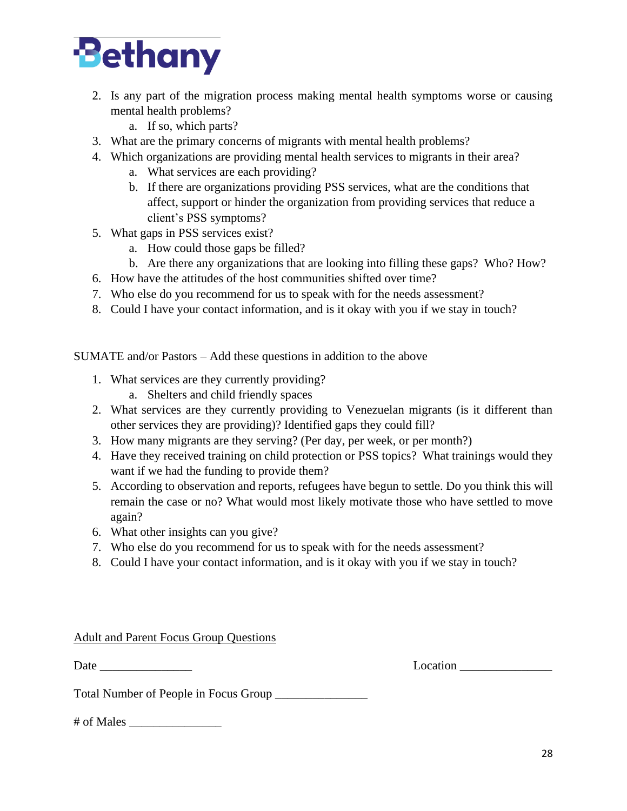

- 2. Is any part of the migration process making mental health symptoms worse or causing mental health problems?
	- a. If so, which parts?
- 3. What are the primary concerns of migrants with mental health problems?
- 4. Which organizations are providing mental health services to migrants in their area?
	- a. What services are each providing?
	- b. If there are organizations providing PSS services, what are the conditions that affect, support or hinder the organization from providing services that reduce a client's PSS symptoms?
- 5. What gaps in PSS services exist?
	- a. How could those gaps be filled?
	- b. Are there any organizations that are looking into filling these gaps? Who? How?
- 6. How have the attitudes of the host communities shifted over time?
- 7. Who else do you recommend for us to speak with for the needs assessment?
- 8. Could I have your contact information, and is it okay with you if we stay in touch?

SUMATE and/or Pastors – Add these questions in addition to the above

- 1. What services are they currently providing?
	- a. Shelters and child friendly spaces
- 2. What services are they currently providing to Venezuelan migrants (is it different than other services they are providing)? Identified gaps they could fill?
- 3. How many migrants are they serving? (Per day, per week, or per month?)
- 4. Have they received training on child protection or PSS topics? What trainings would they want if we had the funding to provide them?
- 5. According to observation and reports, refugees have begun to settle. Do you think this will remain the case or no? What would most likely motivate those who have settled to move again?
- 6. What other insights can you give?
- 7. Who else do you recommend for us to speak with for the needs assessment?
- 8. Could I have your contact information, and is it okay with you if we stay in touch?

### Adult and Parent Focus Group Questions

Date Location

Total Number of People in Focus Group \_\_\_\_\_\_\_\_\_\_\_\_\_\_\_

# of Males \_\_\_\_\_\_\_\_\_\_\_\_\_\_\_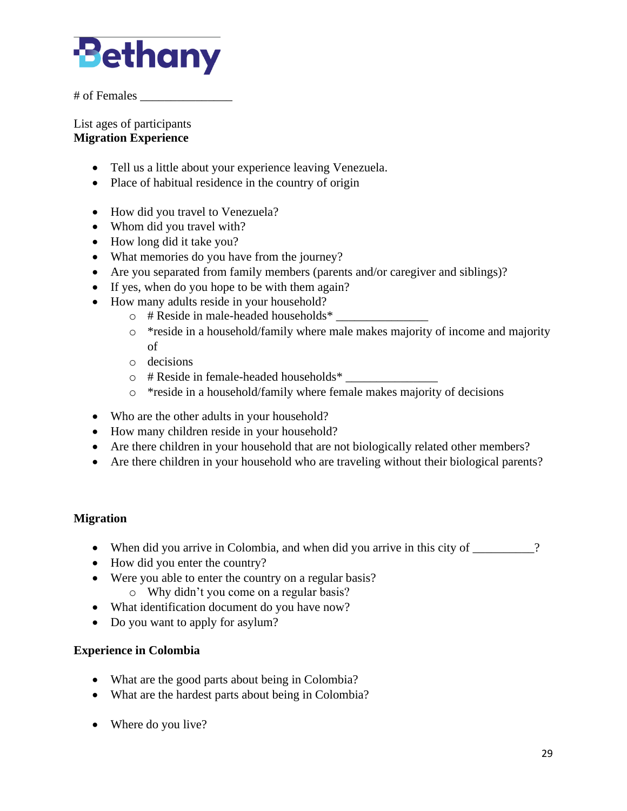

# of Females \_\_\_\_\_\_\_\_\_\_\_\_\_\_\_

List ages of participants **Migration Experience**

- Tell us a little about your experience leaving Venezuela.
- Place of habitual residence in the country of origin
- How did you travel to Venezuela?
- Whom did you travel with?
- How long did it take you?
- What memories do you have from the journey?
- Are you separated from family members (parents and/or caregiver and siblings)?
- If yes, when do you hope to be with them again?
- How many adults reside in your household?
	- $\circ$  # Reside in male-headed households\*
	- o \*reside in a household/family where male makes majority of income and majority of
	- o decisions
	- o # Reside in female-headed households\* \_\_\_\_\_\_\_\_\_\_\_\_\_\_\_
	- o \*reside in a household/family where female makes majority of decisions
- Who are the other adults in your household?
- How many children reside in your household?
- Are there children in your household that are not biologically related other members?
- Are there children in your household who are traveling without their biological parents?

### **Migration**

- When did you arrive in Colombia, and when did you arrive in this city of \_\_\_\_\_\_\_\_?
- How did you enter the country?
- Were you able to enter the country on a regular basis?
	- o Why didn't you come on a regular basis?
- What identification document do you have now?
- Do you want to apply for asylum?

# **Experience in Colombia**

- What are the good parts about being in Colombia?
- What are the hardest parts about being in Colombia?
- Where do you live?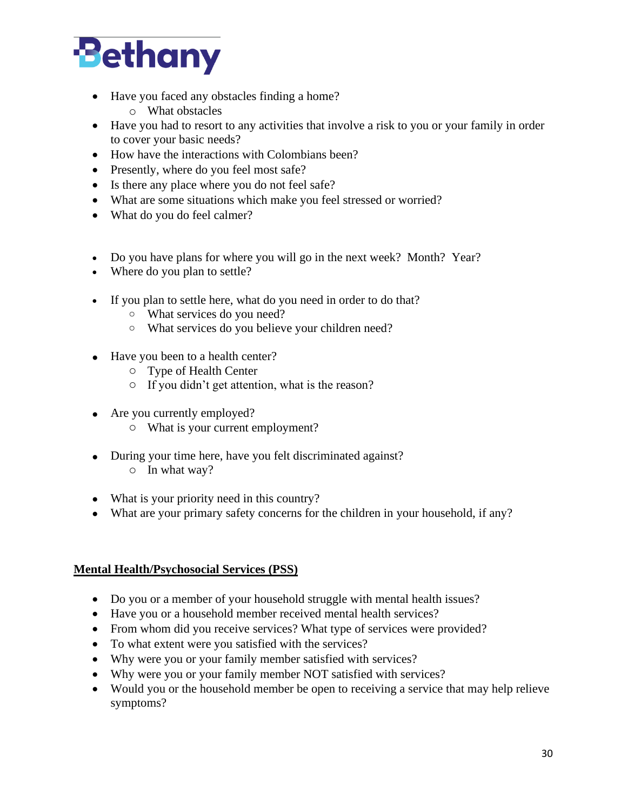

- Have you faced any obstacles finding a home?
	- o What obstacles
- Have you had to resort to any activities that involve a risk to you or your family in order to cover your basic needs?
- How have the interactions with Colombians been?
- Presently, where do you feel most safe?
- Is there any place where you do not feel safe?
- What are some situations which make you feel stressed or worried?
- What do you do feel calmer?
- Do you have plans for where you will go in the next week? Month? Year?
- Where do you plan to settle?
- If you plan to settle here, what do you need in order to do that?
	- o What services do you need?
	- o What services do you believe your children need?
- Have you been to a health center?
	- o Type of Health Center
	- o If you didn't get attention, what is the reason?
- Are you currently employed?
	- o What is your current employment?
- During your time here, have you felt discriminated against? o In what way?
- What is your priority need in this country?
- What are your primary safety concerns for the children in your household, if any?

### **Mental Health/Psychosocial Services (PSS)**

- Do you or a member of your household struggle with mental health issues?
- Have you or a household member received mental health services?
- From whom did you receive services? What type of services were provided?
- To what extent were you satisfied with the services?
- Why were you or your family member satisfied with services?
- Why were you or your family member NOT satisfied with services?
- Would you or the household member be open to receiving a service that may help relieve symptoms?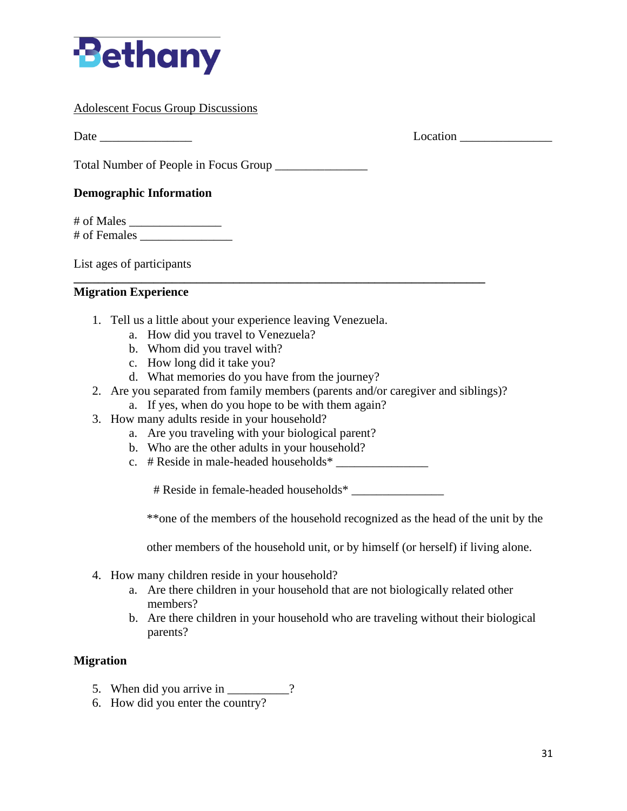

#### Adolescent Focus Group Discussions

Date Location **Department of the United States Containers** Location **Location** 

Total Number of People in Focus Group

#### **Demographic Information**

# of Males \_\_\_\_\_\_\_\_\_\_\_\_\_\_\_ # of Females \_\_\_\_\_\_\_\_\_\_\_\_\_\_\_

List ages of participants

#### **Migration Experience**

- 1. Tell us a little about your experience leaving Venezuela.
	- a. How did you travel to Venezuela?
	- b. Whom did you travel with?
	- c. How long did it take you?
	- d. What memories do you have from the journey?
- 2. Are you separated from family members (parents and/or caregiver and siblings)?

**\_\_\_\_\_\_\_\_\_\_\_\_\_\_\_\_\_\_\_\_\_\_\_\_\_\_\_\_\_\_\_\_\_\_\_\_\_\_\_\_\_\_\_\_\_\_\_\_\_\_\_\_\_\_\_\_\_\_\_\_\_\_\_\_\_\_\_**

- a. If yes, when do you hope to be with them again?
- 3. How many adults reside in your household?
	- a. Are you traveling with your biological parent?
	- b. Who are the other adults in your household?
	- c.  $#$  Reside in male-headed households\*  $\frac{1}{2}$

# Reside in female-headed households\* \_\_\_\_\_\_\_\_\_\_\_\_\_\_\_

\*\*one of the members of the household recognized as the head of the unit by the

other members of the household unit, or by himself (or herself) if living alone.

- 4. How many children reside in your household?
	- a. Are there children in your household that are not biologically related other members?
	- b. Are there children in your household who are traveling without their biological parents?

#### **Migration**

- 5. When did you arrive in \_\_\_\_\_\_\_\_?
- 6. How did you enter the country?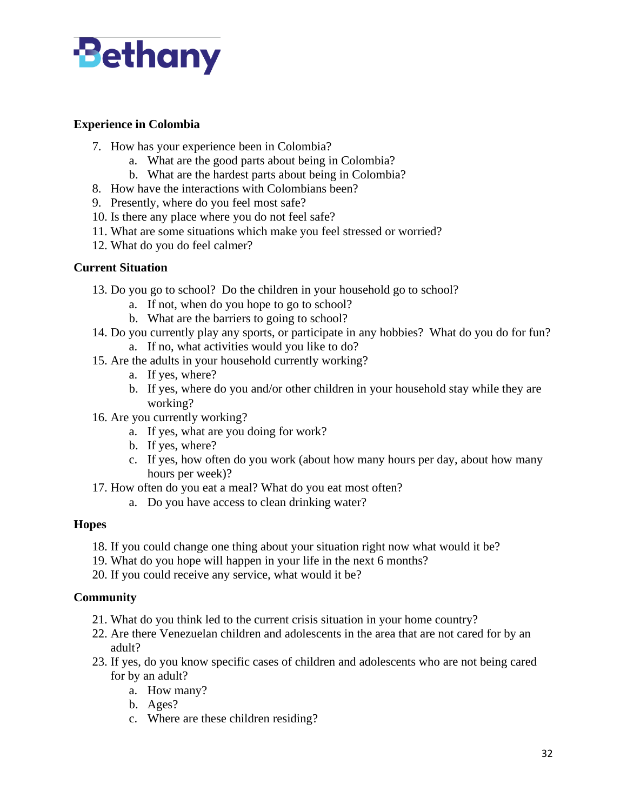

### **Experience in Colombia**

- 7. How has your experience been in Colombia?
	- a. What are the good parts about being in Colombia?
	- b. What are the hardest parts about being in Colombia?
- 8. How have the interactions with Colombians been?
- 9. Presently, where do you feel most safe?
- 10. Is there any place where you do not feel safe?
- 11. What are some situations which make you feel stressed or worried?
- 12. What do you do feel calmer?

#### **Current Situation**

- 13. Do you go to school? Do the children in your household go to school?
	- a. If not, when do you hope to go to school?
	- b. What are the barriers to going to school?
- 14. Do you currently play any sports, or participate in any hobbies? What do you do for fun?
	- a. If no, what activities would you like to do?
- 15. Are the adults in your household currently working?
	- a. If yes, where?
	- b. If yes, where do you and/or other children in your household stay while they are working?
- 16. Are you currently working?
	- a. If yes, what are you doing for work?
	- b. If yes, where?
	- c. If yes, how often do you work (about how many hours per day, about how many hours per week)?
- 17. How often do you eat a meal? What do you eat most often?
	- a. Do you have access to clean drinking water?

### **Hopes**

- 18. If you could change one thing about your situation right now what would it be?
- 19. What do you hope will happen in your life in the next 6 months?
- 20. If you could receive any service, what would it be?

### **Community**

- 21. What do you think led to the current crisis situation in your home country?
- 22. Are there Venezuelan children and adolescents in the area that are not cared for by an adult?
- 23. If yes, do you know specific cases of children and adolescents who are not being cared for by an adult?
	- a. How many?
	- b. Ages?
	- c. Where are these children residing?